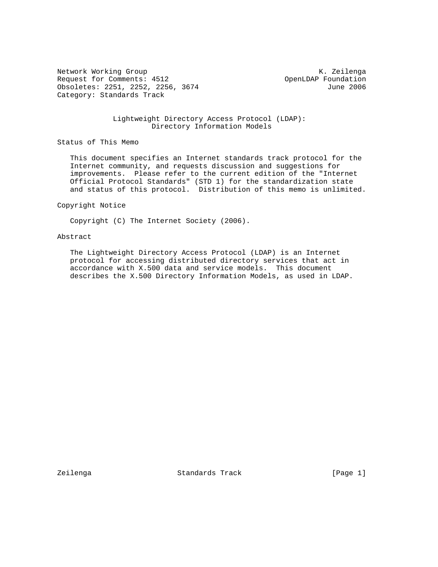Network Working Group and Months and Months and Months and Months and Months and Months and Months and Months and Months and Months and Months and Months and Months and Months and Months and Months and Months and Months an Request for Comments: 4512 OpenLDAP Foundation Obsoletes: 2251, 2252, 2256, 3674 June 2006 Category: Standards Track

## Lightweight Directory Access Protocol (LDAP): Directory Information Models

# Status of This Memo

 This document specifies an Internet standards track protocol for the Internet community, and requests discussion and suggestions for improvements. Please refer to the current edition of the "Internet Official Protocol Standards" (STD 1) for the standardization state and status of this protocol. Distribution of this memo is unlimited.

#### Copyright Notice

Copyright (C) The Internet Society (2006).

### Abstract

 The Lightweight Directory Access Protocol (LDAP) is an Internet protocol for accessing distributed directory services that act in accordance with X.500 data and service models. This document describes the X.500 Directory Information Models, as used in LDAP.

Zeilenga Standards Track [Page 1]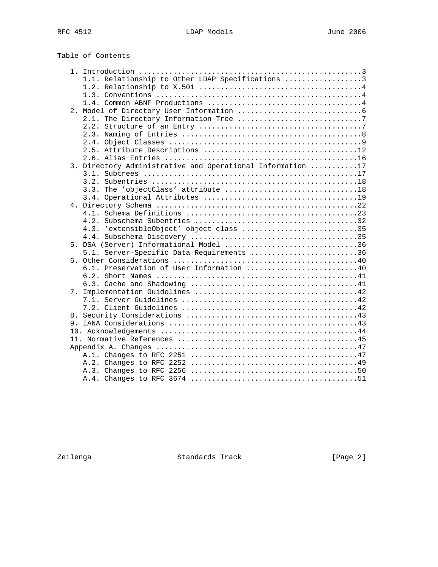| Table of Contents |  |  |  |  |
|-------------------|--|--|--|--|
|-------------------|--|--|--|--|

|  | 1.1. Relationship to Other LDAP Specifications 3           |
|--|------------------------------------------------------------|
|  |                                                            |
|  |                                                            |
|  |                                                            |
|  |                                                            |
|  |                                                            |
|  |                                                            |
|  |                                                            |
|  |                                                            |
|  |                                                            |
|  |                                                            |
|  | 3. Directory Administrative and Operational Information 17 |
|  |                                                            |
|  |                                                            |
|  |                                                            |
|  |                                                            |
|  |                                                            |
|  |                                                            |
|  |                                                            |
|  | 4.3. 'extensibleObject' object class 35                    |
|  |                                                            |
|  | 5. DSA (Server) Informational Model 36                     |
|  | 5.1. Server-Specific Data Requirements 36                  |
|  |                                                            |
|  | 6.1. Preservation of User Information 40                   |
|  |                                                            |
|  |                                                            |
|  |                                                            |
|  |                                                            |
|  |                                                            |
|  |                                                            |
|  |                                                            |
|  |                                                            |
|  |                                                            |
|  |                                                            |
|  |                                                            |
|  |                                                            |
|  |                                                            |
|  |                                                            |

Zeilenga Standards Track [Page 2]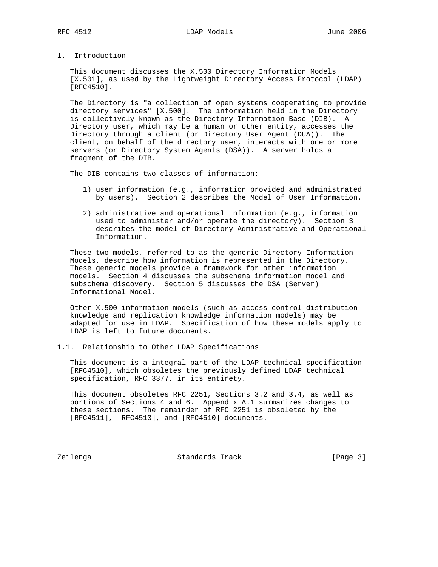1. Introduction

 This document discusses the X.500 Directory Information Models [X.501], as used by the Lightweight Directory Access Protocol (LDAP) [RFC4510].

 The Directory is "a collection of open systems cooperating to provide directory services" [X.500]. The information held in the Directory is collectively known as the Directory Information Base (DIB). A Directory user, which may be a human or other entity, accesses the Directory through a client (or Directory User Agent (DUA)). The client, on behalf of the directory user, interacts with one or more servers (or Directory System Agents (DSA)). A server holds a fragment of the DIB.

The DIB contains two classes of information:

- 1) user information (e.g., information provided and administrated by users). Section 2 describes the Model of User Information.
- 2) administrative and operational information (e.g., information used to administer and/or operate the directory). Section 3 describes the model of Directory Administrative and Operational Information.

 These two models, referred to as the generic Directory Information Models, describe how information is represented in the Directory. These generic models provide a framework for other information models. Section 4 discusses the subschema information model and subschema discovery. Section 5 discusses the DSA (Server) Informational Model.

 Other X.500 information models (such as access control distribution knowledge and replication knowledge information models) may be adapted for use in LDAP. Specification of how these models apply to LDAP is left to future documents.

1.1. Relationship to Other LDAP Specifications

 This document is a integral part of the LDAP technical specification [RFC4510], which obsoletes the previously defined LDAP technical specification, RFC 3377, in its entirety.

 This document obsoletes RFC 2251, Sections 3.2 and 3.4, as well as portions of Sections 4 and 6. Appendix A.1 summarizes changes to these sections. The remainder of RFC 2251 is obsoleted by the [RFC4511], [RFC4513], and [RFC4510] documents.

Zeilenga Standards Track [Page 3]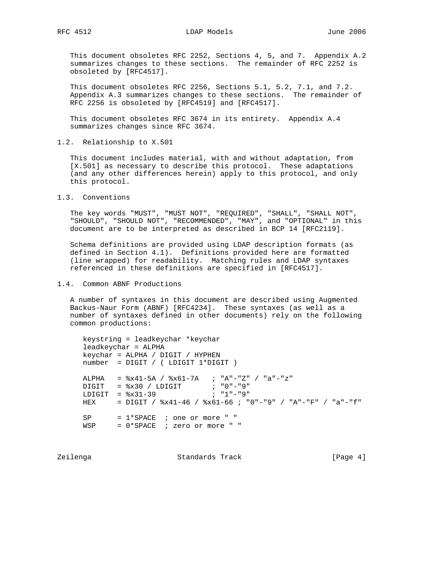This document obsoletes RFC 2252, Sections 4, 5, and 7. Appendix A.2 summarizes changes to these sections. The remainder of RFC 2252 is obsoleted by [RFC4517].

 This document obsoletes RFC 2256, Sections 5.1, 5.2, 7.1, and 7.2. Appendix A.3 summarizes changes to these sections. The remainder of RFC 2256 is obsoleted by [RFC4519] and [RFC4517].

 This document obsoletes RFC 3674 in its entirety. Appendix A.4 summarizes changes since RFC 3674.

1.2. Relationship to X.501

 This document includes material, with and without adaptation, from [X.501] as necessary to describe this protocol. These adaptations (and any other differences herein) apply to this protocol, and only this protocol.

1.3. Conventions

 The key words "MUST", "MUST NOT", "REQUIRED", "SHALL", "SHALL NOT", "SHOULD", "SHOULD NOT", "RECOMMENDED", "MAY", and "OPTIONAL" in this document are to be interpreted as described in BCP 14 [RFC2119].

 Schema definitions are provided using LDAP description formats (as defined in Section 4.1). Definitions provided here are formatted (line wrapped) for readability. Matching rules and LDAP syntaxes referenced in these definitions are specified in [RFC4517].

### 1.4. Common ABNF Productions

 A number of syntaxes in this document are described using Augmented Backus-Naur Form (ABNF) [RFC4234]. These syntaxes (as well as a number of syntaxes defined in other documents) rely on the following common productions:

 keystring = leadkeychar \*keychar leadkeychar = ALPHA keychar = ALPHA / DIGIT / HYPHEN number = DIGIT / ( LDIGIT 1\*DIGIT ) ALPHA = %x41-5A / %x61-7A ; "A"-"Z" / "a"-"z"  $\text{Diff}$  =  $x30 / \text{LDIGIT}$  ; "0"-"9"  $LDIGIT =  $\frac{2}{3} \times 31 - 39$  ; "1"-"9"$  HEX = DIGIT / %x41-46 / %x61-66 ; "0"-"9" / "A"-"F" / "a"-"f" SP = 1\*SPACE ; one or more " " WSP = 1 SINCL / SIL SE MORE " "

Zeilenga **Standards Track** [Page 4]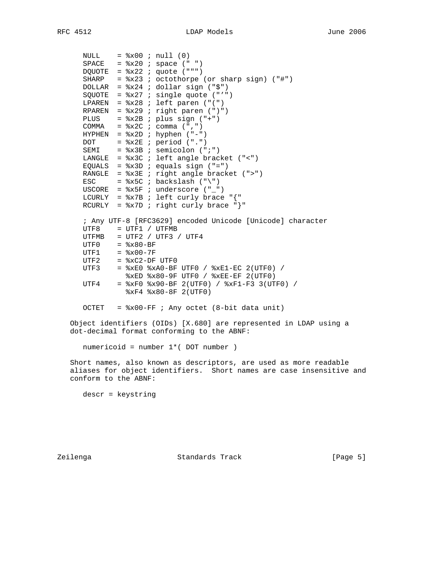```
NULL = x00 ; null (0)SPACE = x20 ; space (" ")
     DQUOTE = x22; quote (""")
 SHARP = %x23 ; octothorpe (or sharp sign) ("#")
 DOLLAR = %x24 ; dollar sign ("$")
      SQUOTE = %x27 ; single quote ("'")
     LPAREN = 8x28 ; left paren ("(")
     RPAREN = 8x29 ; right paren (")")
     PLUS = x2B ; plus sign (" +")COMMA = 8x2C ; comma (",")
     HYPHEN = <math>x2D</math>; hyperhence <math>(" -")</math>DOT = 8x2E ; period (".")
     SEMI = x3B ; semicolon (";")
 LANGLE = %x3C ; left angle bracket ("<")
EQUALS = x3D ; equals sign ("=")
 RANGLE = %x3E ; right angle bracket (">")
     ESC = *x5C ; backslash ("\")
     USCORE = 8x5F ; underscore ("_")
     LCURLY = x7B ; left curly brace "{RCURLY = x7D ; right curly brace "}"
      ; Any UTF-8 [RFC3629] encoded Unicode [Unicode] character
      UTF8 = UTF1 / UTFMB
     UTFMB = UTF2 / UTF3 / UTF4
UTF0 = <math>\frac{1}{2} \times 80 - BF UTF1 = %x00-7F
     UTF2 = xC2-DF UTF0
      UTF3 = %xE0 %xA0-BF UTF0 / %xE1-EC 2(UTF0) /
              %xED %x80-9F UTF0 / %xEE-EF 2(UTF0)
      UTF4 = %xF0 %x90-BF 2(UTF0) / %xF1-F3 3(UTF0) /
               %xF4 %x80-8F 2(UTF0)
     OCTET = %x00-FF ; Any octet (8-bit data unit)
```
 Object identifiers (OIDs) [X.680] are represented in LDAP using a dot-decimal format conforming to the ABNF:

numericoid = number 1\*( DOT number )

 Short names, also known as descriptors, are used as more readable aliases for object identifiers. Short names are case insensitive and conform to the ABNF:

descr = keystring

Zeilenga Standards Track [Page 5]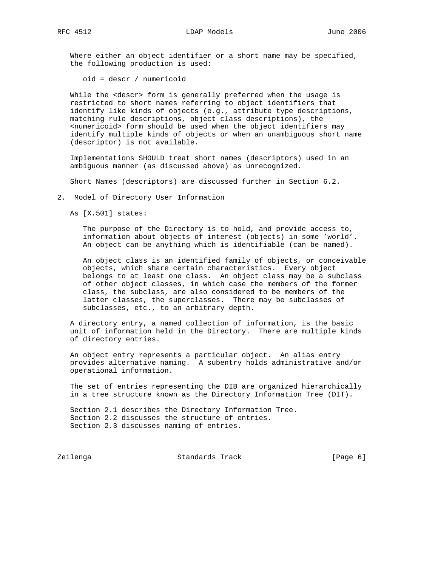Where either an object identifier or a short name may be specified, the following production is used:

oid = descr / numericoid

While the <descr> form is generally preferred when the usage is restricted to short names referring to object identifiers that identify like kinds of objects (e.g., attribute type descriptions, matching rule descriptions, object class descriptions), the <numericoid> form should be used when the object identifiers may identify multiple kinds of objects or when an unambiguous short name (descriptor) is not available.

 Implementations SHOULD treat short names (descriptors) used in an ambiguous manner (as discussed above) as unrecognized.

Short Names (descriptors) are discussed further in Section 6.2.

2. Model of Directory User Information

As [X.501] states:

 The purpose of the Directory is to hold, and provide access to, information about objects of interest (objects) in some 'world'. An object can be anything which is identifiable (can be named).

 An object class is an identified family of objects, or conceivable objects, which share certain characteristics. Every object belongs to at least one class. An object class may be a subclass of other object classes, in which case the members of the former class, the subclass, are also considered to be members of the latter classes, the superclasses. There may be subclasses of subclasses, etc., to an arbitrary depth.

 A directory entry, a named collection of information, is the basic unit of information held in the Directory. There are multiple kinds of directory entries.

 An object entry represents a particular object. An alias entry provides alternative naming. A subentry holds administrative and/or operational information.

 The set of entries representing the DIB are organized hierarchically in a tree structure known as the Directory Information Tree (DIT).

 Section 2.1 describes the Directory Information Tree. Section 2.2 discusses the structure of entries. Section 2.3 discusses naming of entries.

Zeilenga Standards Track [Page 6]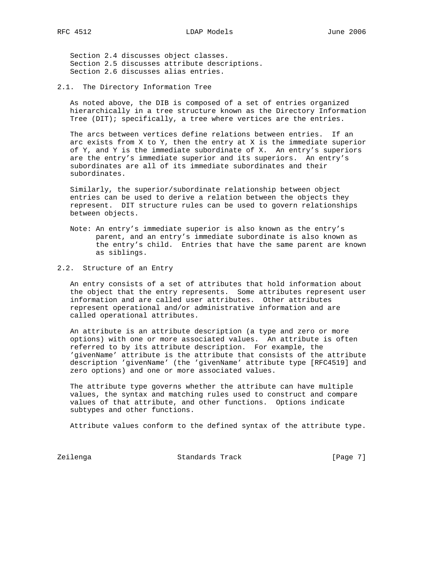Section 2.4 discusses object classes. Section 2.5 discusses attribute descriptions. Section 2.6 discusses alias entries.

2.1. The Directory Information Tree

 As noted above, the DIB is composed of a set of entries organized hierarchically in a tree structure known as the Directory Information Tree (DIT); specifically, a tree where vertices are the entries.

 The arcs between vertices define relations between entries. If an arc exists from X to Y, then the entry at X is the immediate superior of Y, and Y is the immediate subordinate of X. An entry's superiors are the entry's immediate superior and its superiors. An entry's subordinates are all of its immediate subordinates and their subordinates.

 Similarly, the superior/subordinate relationship between object entries can be used to derive a relation between the objects they represent. DIT structure rules can be used to govern relationships between objects.

- Note: An entry's immediate superior is also known as the entry's parent, and an entry's immediate subordinate is also known as the entry's child. Entries that have the same parent are known as siblings.
- 2.2. Structure of an Entry

 An entry consists of a set of attributes that hold information about the object that the entry represents. Some attributes represent user information and are called user attributes. Other attributes represent operational and/or administrative information and are called operational attributes.

 An attribute is an attribute description (a type and zero or more options) with one or more associated values. An attribute is often referred to by its attribute description. For example, the 'givenName' attribute is the attribute that consists of the attribute description 'givenName' (the 'givenName' attribute type [RFC4519] and zero options) and one or more associated values.

 The attribute type governs whether the attribute can have multiple values, the syntax and matching rules used to construct and compare values of that attribute, and other functions. Options indicate subtypes and other functions.

Attribute values conform to the defined syntax of the attribute type.

Zeilenga Standards Track [Page 7]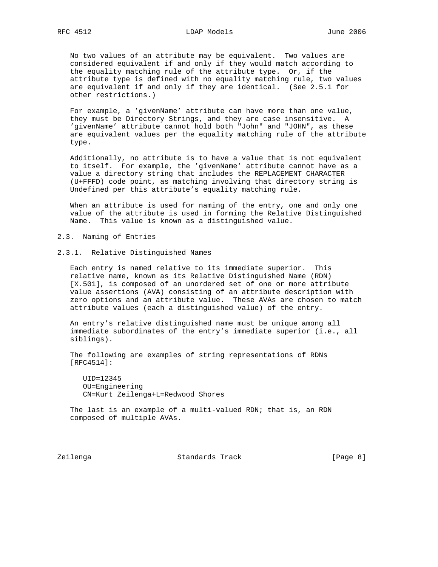No two values of an attribute may be equivalent. Two values are considered equivalent if and only if they would match according to the equality matching rule of the attribute type. Or, if the attribute type is defined with no equality matching rule, two values are equivalent if and only if they are identical. (See 2.5.1 for other restrictions.)

 For example, a 'givenName' attribute can have more than one value, they must be Directory Strings, and they are case insensitive. A 'givenName' attribute cannot hold both "John" and "JOHN", as these are equivalent values per the equality matching rule of the attribute type.

 Additionally, no attribute is to have a value that is not equivalent to itself. For example, the 'givenName' attribute cannot have as a value a directory string that includes the REPLACEMENT CHARACTER (U+FFFD) code point, as matching involving that directory string is Undefined per this attribute's equality matching rule.

 When an attribute is used for naming of the entry, one and only one value of the attribute is used in forming the Relative Distinguished Name. This value is known as a distinguished value.

2.3. Naming of Entries

2.3.1. Relative Distinguished Names

 Each entry is named relative to its immediate superior. This relative name, known as its Relative Distinguished Name (RDN) [X.501], is composed of an unordered set of one or more attribute value assertions (AVA) consisting of an attribute description with zero options and an attribute value. These AVAs are chosen to match attribute values (each a distinguished value) of the entry.

 An entry's relative distinguished name must be unique among all immediate subordinates of the entry's immediate superior (i.e., all siblings).

 The following are examples of string representations of RDNs [RFC4514]:

 $UID=12345$  OU=Engineering CN=Kurt Zeilenga+L=Redwood Shores

 The last is an example of a multi-valued RDN; that is, an RDN composed of multiple AVAs.

Zeilenga Standards Track [Page 8]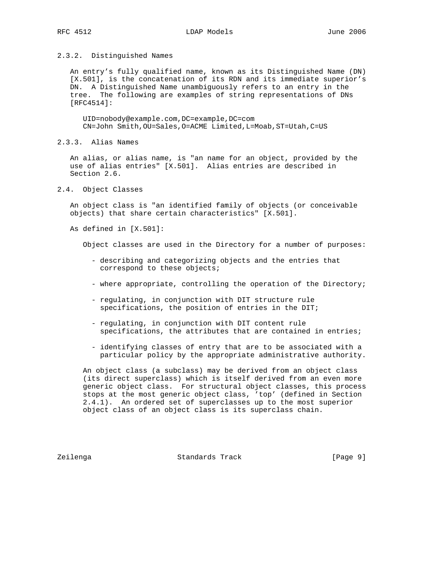## 2.3.2. Distinguished Names

 An entry's fully qualified name, known as its Distinguished Name (DN) [X.501], is the concatenation of its RDN and its immediate superior's DN. A Distinguished Name unambiguously refers to an entry in the tree. The following are examples of string representations of DNs [RFC4514]:

 UID=nobody@example.com,DC=example,DC=com CN=John Smith,OU=Sales,O=ACME Limited,L=Moab,ST=Utah,C=US

2.3.3. Alias Names

 An alias, or alias name, is "an name for an object, provided by the use of alias entries" [X.501]. Alias entries are described in Section 2.6.

2.4. Object Classes

 An object class is "an identified family of objects (or conceivable objects) that share certain characteristics" [X.501].

As defined in [X.501]:

Object classes are used in the Directory for a number of purposes:

- describing and categorizing objects and the entries that correspond to these objects;
- where appropriate, controlling the operation of the Directory;
- regulating, in conjunction with DIT structure rule specifications, the position of entries in the DIT;
- regulating, in conjunction with DIT content rule specifications, the attributes that are contained in entries;
- identifying classes of entry that are to be associated with a particular policy by the appropriate administrative authority.

 An object class (a subclass) may be derived from an object class (its direct superclass) which is itself derived from an even more generic object class. For structural object classes, this process stops at the most generic object class, 'top' (defined in Section 2.4.1). An ordered set of superclasses up to the most superior object class of an object class is its superclass chain.

Zeilenga Standards Track [Page 9]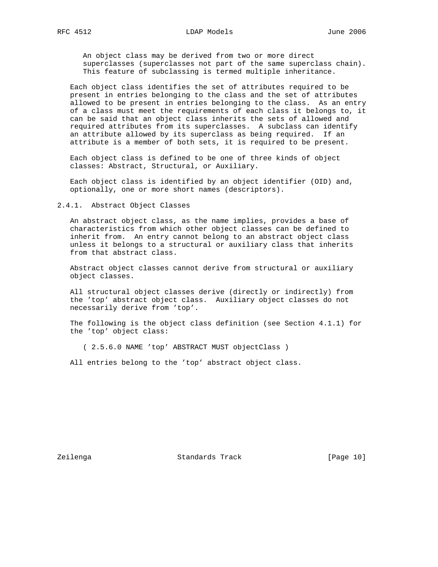An object class may be derived from two or more direct superclasses (superclasses not part of the same superclass chain). This feature of subclassing is termed multiple inheritance.

 Each object class identifies the set of attributes required to be present in entries belonging to the class and the set of attributes allowed to be present in entries belonging to the class. As an entry of a class must meet the requirements of each class it belongs to, it can be said that an object class inherits the sets of allowed and required attributes from its superclasses. A subclass can identify an attribute allowed by its superclass as being required. If an attribute is a member of both sets, it is required to be present.

 Each object class is defined to be one of three kinds of object classes: Abstract, Structural, or Auxiliary.

 Each object class is identified by an object identifier (OID) and, optionally, one or more short names (descriptors).

2.4.1. Abstract Object Classes

 An abstract object class, as the name implies, provides a base of characteristics from which other object classes can be defined to inherit from. An entry cannot belong to an abstract object class unless it belongs to a structural or auxiliary class that inherits from that abstract class.

 Abstract object classes cannot derive from structural or auxiliary object classes.

 All structural object classes derive (directly or indirectly) from the 'top' abstract object class. Auxiliary object classes do not necessarily derive from 'top'.

 The following is the object class definition (see Section 4.1.1) for the 'top' object class:

( 2.5.6.0 NAME 'top' ABSTRACT MUST objectClass )

All entries belong to the 'top' abstract object class.

Zeilenga **Standards Track** [Page 10]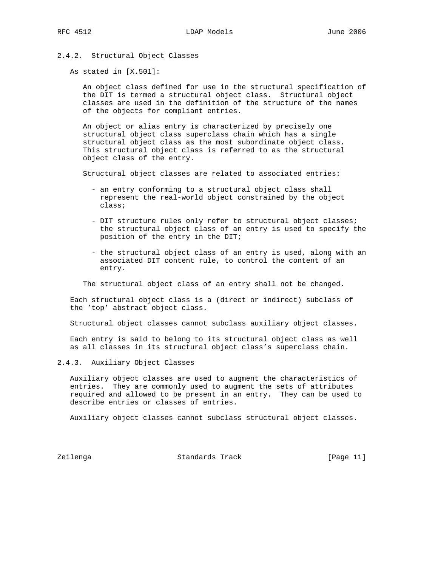# 2.4.2. Structural Object Classes

As stated in [X.501]:

 An object class defined for use in the structural specification of the DIT is termed a structural object class. Structural object classes are used in the definition of the structure of the names of the objects for compliant entries.

 An object or alias entry is characterized by precisely one structural object class superclass chain which has a single structural object class as the most subordinate object class. This structural object class is referred to as the structural object class of the entry.

Structural object classes are related to associated entries:

- an entry conforming to a structural object class shall represent the real-world object constrained by the object class;
- DIT structure rules only refer to structural object classes; the structural object class of an entry is used to specify the position of the entry in the DIT;
- the structural object class of an entry is used, along with an associated DIT content rule, to control the content of an entry.

The structural object class of an entry shall not be changed.

 Each structural object class is a (direct or indirect) subclass of the 'top' abstract object class.

Structural object classes cannot subclass auxiliary object classes.

 Each entry is said to belong to its structural object class as well as all classes in its structural object class's superclass chain.

2.4.3. Auxiliary Object Classes

 Auxiliary object classes are used to augment the characteristics of entries. They are commonly used to augment the sets of attributes required and allowed to be present in an entry. They can be used to describe entries or classes of entries.

Auxiliary object classes cannot subclass structural object classes.

Zeilenga Standards Track [Page 11]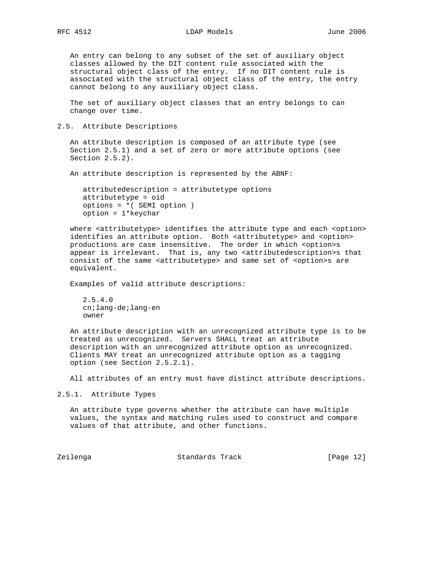An entry can belong to any subset of the set of auxiliary object classes allowed by the DIT content rule associated with the structural object class of the entry. If no DIT content rule is associated with the structural object class of the entry, the entry cannot belong to any auxiliary object class.

 The set of auxiliary object classes that an entry belongs to can change over time.

2.5. Attribute Descriptions

 An attribute description is composed of an attribute type (see Section 2.5.1) and a set of zero or more attribute options (see Section 2.5.2).

An attribute description is represented by the ABNF:

 attributedescription = attributetype options attributetype = oid options = \*( SEMI option ) option = 1\*keychar

where <attributetype> identifies the attribute type and each <option> identifies an attribute option. Both <attributetype> and <option> productions are case insensitive. The order in which <option>s appear is irrelevant. That is, any two <attributedescription>s that consist of the same <attributetype> and same set of <option>s are equivalent.

Examples of valid attribute descriptions:

 2.5.4.0 cn;lang-de;lang-en owner

 An attribute description with an unrecognized attribute type is to be treated as unrecognized. Servers SHALL treat an attribute description with an unrecognized attribute option as unrecognized. Clients MAY treat an unrecognized attribute option as a tagging option (see Section 2.5.2.1).

All attributes of an entry must have distinct attribute descriptions.

2.5.1. Attribute Types

 An attribute type governs whether the attribute can have multiple values, the syntax and matching rules used to construct and compare values of that attribute, and other functions.

Zeilenga Standards Track [Page 12]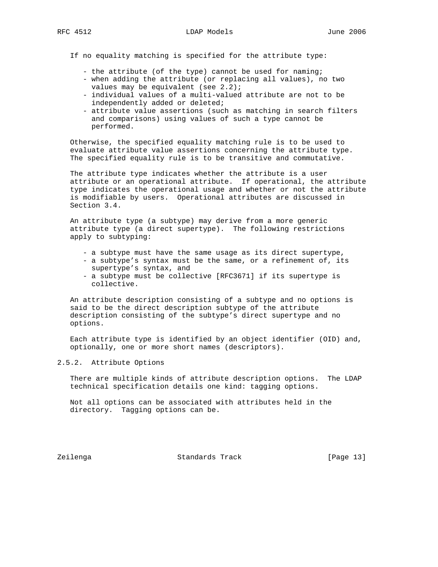If no equality matching is specified for the attribute type:

- the attribute (of the type) cannot be used for naming;
- when adding the attribute (or replacing all values), no two values may be equivalent (see 2.2);
- individual values of a multi-valued attribute are not to be independently added or deleted;
- attribute value assertions (such as matching in search filters and comparisons) using values of such a type cannot be performed.

 Otherwise, the specified equality matching rule is to be used to evaluate attribute value assertions concerning the attribute type. The specified equality rule is to be transitive and commutative.

 The attribute type indicates whether the attribute is a user attribute or an operational attribute. If operational, the attribute type indicates the operational usage and whether or not the attribute is modifiable by users. Operational attributes are discussed in Section 3.4.

 An attribute type (a subtype) may derive from a more generic attribute type (a direct supertype). The following restrictions apply to subtyping:

- a subtype must have the same usage as its direct supertype,
- a subtype's syntax must be the same, or a refinement of, its supertype's syntax, and
- a subtype must be collective [RFC3671] if its supertype is collective.

 An attribute description consisting of a subtype and no options is said to be the direct description subtype of the attribute description consisting of the subtype's direct supertype and no options.

 Each attribute type is identified by an object identifier (OID) and, optionally, one or more short names (descriptors).

## 2.5.2. Attribute Options

 There are multiple kinds of attribute description options. The LDAP technical specification details one kind: tagging options.

 Not all options can be associated with attributes held in the directory. Tagging options can be.

Zeilenga Standards Track [Page 13]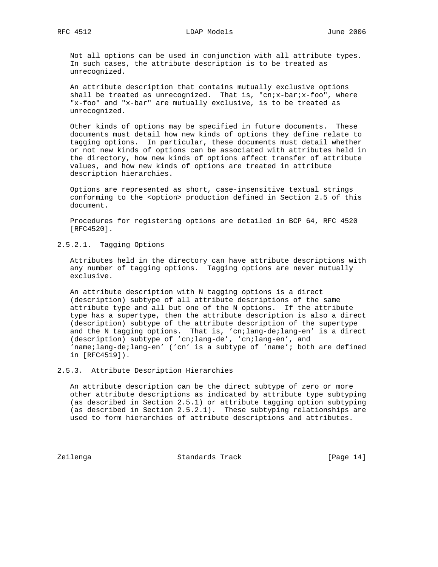Not all options can be used in conjunction with all attribute types. In such cases, the attribute description is to be treated as unrecognized.

 An attribute description that contains mutually exclusive options shall be treated as unrecognized. That is, "cn;x-bar;x-foo", where "x-foo" and "x-bar" are mutually exclusive, is to be treated as unrecognized.

 Other kinds of options may be specified in future documents. These documents must detail how new kinds of options they define relate to tagging options. In particular, these documents must detail whether or not new kinds of options can be associated with attributes held in the directory, how new kinds of options affect transfer of attribute values, and how new kinds of options are treated in attribute description hierarchies.

 Options are represented as short, case-insensitive textual strings conforming to the <option> production defined in Section 2.5 of this document.

 Procedures for registering options are detailed in BCP 64, RFC 4520 [RFC4520].

2.5.2.1. Tagging Options

 Attributes held in the directory can have attribute descriptions with any number of tagging options. Tagging options are never mutually exclusive.

 An attribute description with N tagging options is a direct (description) subtype of all attribute descriptions of the same attribute type and all but one of the N options. If the attribute type has a supertype, then the attribute description is also a direct (description) subtype of the attribute description of the supertype and the N tagging options. That is, 'cn;lang-de;lang-en' is a direct (description) subtype of 'cn;lang-de', 'cn;lang-en', and 'name;lang-de;lang-en' ('cn' is a subtype of 'name'; both are defined in [RFC4519]).

2.5.3. Attribute Description Hierarchies

 An attribute description can be the direct subtype of zero or more other attribute descriptions as indicated by attribute type subtyping (as described in Section 2.5.1) or attribute tagging option subtyping (as described in Section 2.5.2.1). These subtyping relationships are used to form hierarchies of attribute descriptions and attributes.

Zeilenga Standards Track [Page 14]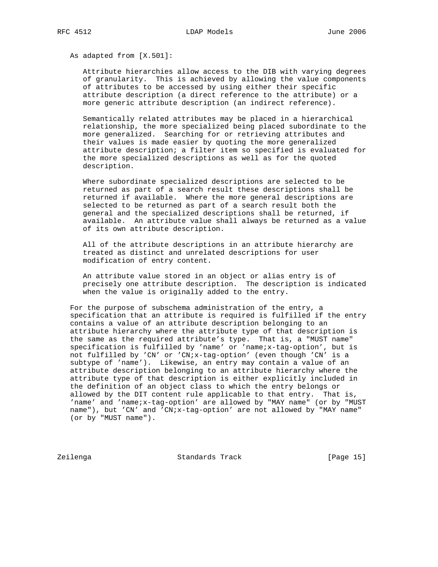As adapted from [X.501]:

 Attribute hierarchies allow access to the DIB with varying degrees of granularity. This is achieved by allowing the value components of attributes to be accessed by using either their specific attribute description (a direct reference to the attribute) or a more generic attribute description (an indirect reference).

 Semantically related attributes may be placed in a hierarchical relationship, the more specialized being placed subordinate to the more generalized. Searching for or retrieving attributes and their values is made easier by quoting the more generalized attribute description; a filter item so specified is evaluated for the more specialized descriptions as well as for the quoted description.

 Where subordinate specialized descriptions are selected to be returned as part of a search result these descriptions shall be returned if available. Where the more general descriptions are selected to be returned as part of a search result both the general and the specialized descriptions shall be returned, if available. An attribute value shall always be returned as a value of its own attribute description.

 All of the attribute descriptions in an attribute hierarchy are treated as distinct and unrelated descriptions for user modification of entry content.

 An attribute value stored in an object or alias entry is of precisely one attribute description. The description is indicated when the value is originally added to the entry.

 For the purpose of subschema administration of the entry, a specification that an attribute is required is fulfilled if the entry contains a value of an attribute description belonging to an attribute hierarchy where the attribute type of that description is the same as the required attribute's type. That is, a "MUST name" specification is fulfilled by 'name' or 'name;x-tag-option', but is not fulfilled by 'CN' or 'CN;x-tag-option' (even though 'CN' is a subtype of 'name'). Likewise, an entry may contain a value of an attribute description belonging to an attribute hierarchy where the attribute type of that description is either explicitly included in the definition of an object class to which the entry belongs or allowed by the DIT content rule applicable to that entry. That is, 'name' and 'name;x-tag-option' are allowed by "MAY name" (or by "MUST name"), but 'CN' and 'CN;x-tag-option' are not allowed by "MAY name" (or by "MUST name").

Zeilenga Standards Track [Page 15]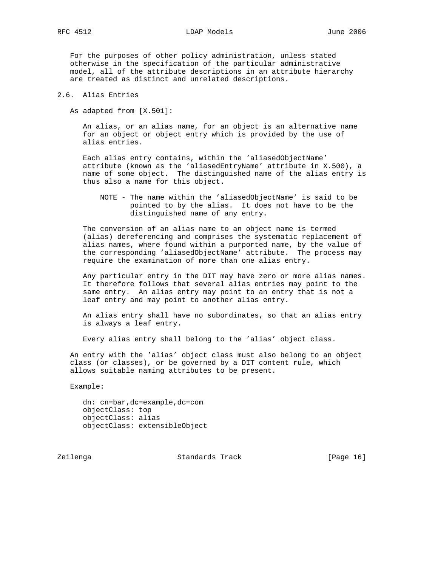For the purposes of other policy administration, unless stated otherwise in the specification of the particular administrative model, all of the attribute descriptions in an attribute hierarchy are treated as distinct and unrelated descriptions.

2.6. Alias Entries

As adapted from [X.501]:

 An alias, or an alias name, for an object is an alternative name for an object or object entry which is provided by the use of alias entries.

 Each alias entry contains, within the 'aliasedObjectName' attribute (known as the 'aliasedEntryName' attribute in X.500), a name of some object. The distinguished name of the alias entry is thus also a name for this object.

 NOTE - The name within the 'aliasedObjectName' is said to be pointed to by the alias. It does not have to be the distinguished name of any entry.

 The conversion of an alias name to an object name is termed (alias) dereferencing and comprises the systematic replacement of alias names, where found within a purported name, by the value of the corresponding 'aliasedObjectName' attribute. The process may require the examination of more than one alias entry.

 Any particular entry in the DIT may have zero or more alias names. It therefore follows that several alias entries may point to the same entry. An alias entry may point to an entry that is not a leaf entry and may point to another alias entry.

 An alias entry shall have no subordinates, so that an alias entry is always a leaf entry.

Every alias entry shall belong to the 'alias' object class.

 An entry with the 'alias' object class must also belong to an object class (or classes), or be governed by a DIT content rule, which allows suitable naming attributes to be present.

Example:

 dn: cn=bar,dc=example,dc=com objectClass: top objectClass: alias objectClass: extensibleObject

Zeilenga Standards Track [Page 16]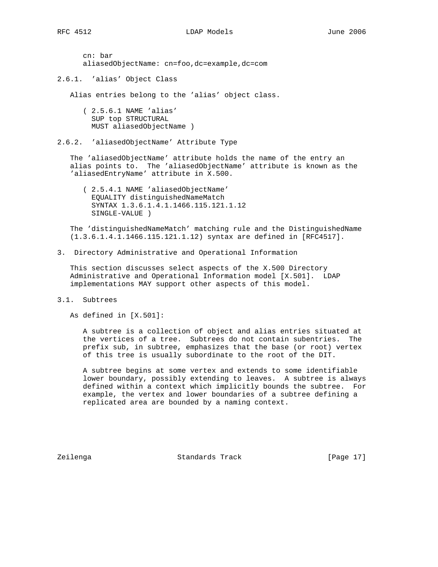cn: bar aliasedObjectName: cn=foo,dc=example,dc=com

2.6.1. 'alias' Object Class

Alias entries belong to the 'alias' object class.

 ( 2.5.6.1 NAME 'alias' SUP top STRUCTURAL MUST aliasedObjectName )

2.6.2. 'aliasedObjectName' Attribute Type

 The 'aliasedObjectName' attribute holds the name of the entry an alias points to. The 'aliasedObjectName' attribute is known as the 'aliasedEntryName' attribute in X.500.

 ( 2.5.4.1 NAME 'aliasedObjectName' EQUALITY distinguishedNameMatch SYNTAX 1.3.6.1.4.1.1466.115.121.1.12 SINGLE-VALUE )

 The 'distinguishedNameMatch' matching rule and the DistinguishedName (1.3.6.1.4.1.1466.115.121.1.12) syntax are defined in [RFC4517].

3. Directory Administrative and Operational Information

 This section discusses select aspects of the X.500 Directory Administrative and Operational Information model [X.501]. LDAP implementations MAY support other aspects of this model.

3.1. Subtrees

As defined in [X.501]:

 A subtree is a collection of object and alias entries situated at the vertices of a tree. Subtrees do not contain subentries. The prefix sub, in subtree, emphasizes that the base (or root) vertex of this tree is usually subordinate to the root of the DIT.

 A subtree begins at some vertex and extends to some identifiable lower boundary, possibly extending to leaves. A subtree is always defined within a context which implicitly bounds the subtree. For example, the vertex and lower boundaries of a subtree defining a replicated area are bounded by a naming context.

Zeilenga Standards Track [Page 17]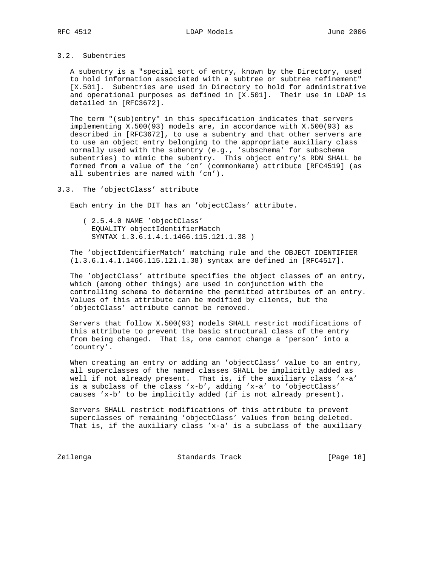## 3.2. Subentries

 A subentry is a "special sort of entry, known by the Directory, used to hold information associated with a subtree or subtree refinement" [X.501]. Subentries are used in Directory to hold for administrative and operational purposes as defined in [X.501]. Their use in LDAP is detailed in [RFC3672].

 The term "(sub)entry" in this specification indicates that servers implementing X.500(93) models are, in accordance with X.500(93) as described in [RFC3672], to use a subentry and that other servers are to use an object entry belonging to the appropriate auxiliary class normally used with the subentry (e.g., 'subschema' for subschema subentries) to mimic the subentry. This object entry's RDN SHALL be formed from a value of the 'cn' (commonName) attribute [RFC4519] (as all subentries are named with 'cn').

### 3.3. The 'objectClass' attribute

Each entry in the DIT has an 'objectClass' attribute.

 ( 2.5.4.0 NAME 'objectClass' EQUALITY objectIdentifierMatch SYNTAX 1.3.6.1.4.1.1466.115.121.1.38 )

 The 'objectIdentifierMatch' matching rule and the OBJECT IDENTIFIER (1.3.6.1.4.1.1466.115.121.1.38) syntax are defined in [RFC4517].

 The 'objectClass' attribute specifies the object classes of an entry, which (among other things) are used in conjunction with the controlling schema to determine the permitted attributes of an entry. Values of this attribute can be modified by clients, but the 'objectClass' attribute cannot be removed.

 Servers that follow X.500(93) models SHALL restrict modifications of this attribute to prevent the basic structural class of the entry from being changed. That is, one cannot change a 'person' into a 'country'.

 When creating an entry or adding an 'objectClass' value to an entry, all superclasses of the named classes SHALL be implicitly added as well if not already present. That is, if the auxiliary class 'x-a' is a subclass of the class 'x-b', adding 'x-a' to 'objectClass' causes 'x-b' to be implicitly added (if is not already present).

 Servers SHALL restrict modifications of this attribute to prevent superclasses of remaining 'objectClass' values from being deleted. That is, if the auxiliary class 'x-a' is a subclass of the auxiliary

Zeilenga Standards Track [Page 18]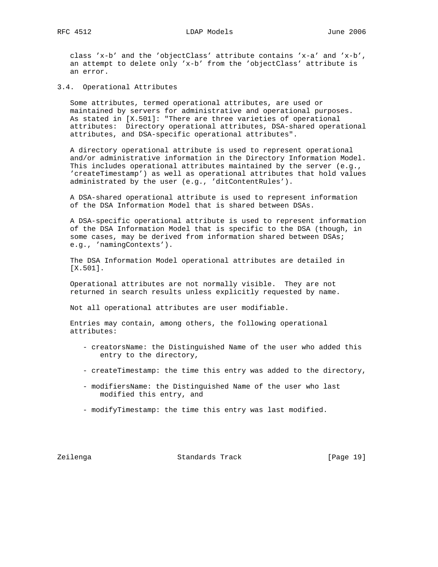class 'x-b' and the 'objectClass' attribute contains 'x-a' and 'x-b', an attempt to delete only 'x-b' from the 'objectClass' attribute is an error.

3.4. Operational Attributes

 Some attributes, termed operational attributes, are used or maintained by servers for administrative and operational purposes. As stated in [X.501]: "There are three varieties of operational attributes: Directory operational attributes, DSA-shared operational attributes, and DSA-specific operational attributes".

 A directory operational attribute is used to represent operational and/or administrative information in the Directory Information Model. This includes operational attributes maintained by the server (e.g., 'createTimestamp') as well as operational attributes that hold values administrated by the user (e.g., 'ditContentRules').

 A DSA-shared operational attribute is used to represent information of the DSA Information Model that is shared between DSAs.

 A DSA-specific operational attribute is used to represent information of the DSA Information Model that is specific to the DSA (though, in some cases, may be derived from information shared between DSAs; e.g., 'namingContexts').

 The DSA Information Model operational attributes are detailed in [X.501].

 Operational attributes are not normally visible. They are not returned in search results unless explicitly requested by name.

Not all operational attributes are user modifiable.

 Entries may contain, among others, the following operational attributes:

- creatorsName: the Distinguished Name of the user who added this entry to the directory,
- createTimestamp: the time this entry was added to the directory,
- modifiersName: the Distinguished Name of the user who last modified this entry, and
- modifyTimestamp: the time this entry was last modified.

Zeilenga Standards Track [Page 19]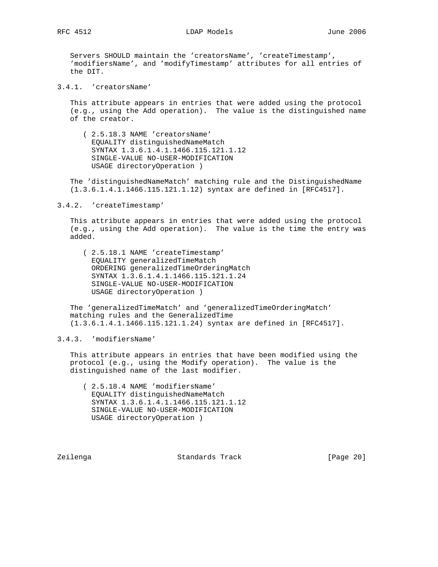Servers SHOULD maintain the 'creatorsName', 'createTimestamp', 'modifiersName', and 'modifyTimestamp' attributes for all entries of the DIT.

3.4.1. 'creatorsName'

 This attribute appears in entries that were added using the protocol (e.g., using the Add operation). The value is the distinguished name of the creator.

 ( 2.5.18.3 NAME 'creatorsName' EQUALITY distinguishedNameMatch SYNTAX 1.3.6.1.4.1.1466.115.121.1.12 SINGLE-VALUE NO-USER-MODIFICATION USAGE directoryOperation )

 The 'distinguishedNameMatch' matching rule and the DistinguishedName (1.3.6.1.4.1.1466.115.121.1.12) syntax are defined in [RFC4517].

3.4.2. 'createTimestamp'

 This attribute appears in entries that were added using the protocol (e.g., using the Add operation). The value is the time the entry was added.

 ( 2.5.18.1 NAME 'createTimestamp' EQUALITY generalizedTimeMatch ORDERING generalizedTimeOrderingMatch SYNTAX 1.3.6.1.4.1.1466.115.121.1.24 SINGLE-VALUE NO-USER-MODIFICATION USAGE directoryOperation )

 The 'generalizedTimeMatch' and 'generalizedTimeOrderingMatch' matching rules and the GeneralizedTime (1.3.6.1.4.1.1466.115.121.1.24) syntax are defined in [RFC4517].

3.4.3. 'modifiersName'

 This attribute appears in entries that have been modified using the protocol (e.g., using the Modify operation). The value is the distinguished name of the last modifier.

 ( 2.5.18.4 NAME 'modifiersName' EQUALITY distinguishedNameMatch SYNTAX 1.3.6.1.4.1.1466.115.121.1.12 SINGLE-VALUE NO-USER-MODIFICATION USAGE directoryOperation )

Zeilenga Standards Track [Page 20]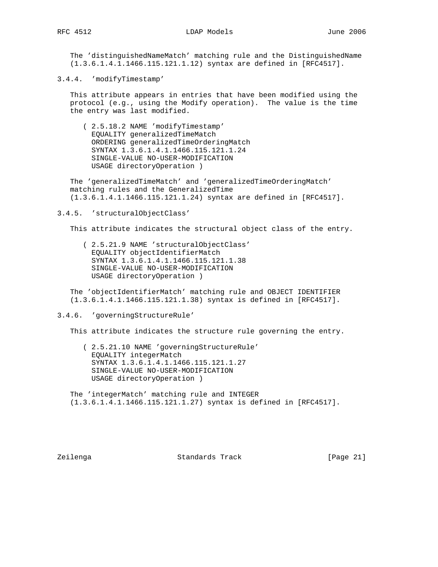The 'distinguishedNameMatch' matching rule and the DistinguishedName (1.3.6.1.4.1.1466.115.121.1.12) syntax are defined in [RFC4517].

3.4.4. 'modifyTimestamp'

 This attribute appears in entries that have been modified using the protocol (e.g., using the Modify operation). The value is the time the entry was last modified.

 ( 2.5.18.2 NAME 'modifyTimestamp' EQUALITY generalizedTimeMatch ORDERING generalizedTimeOrderingMatch SYNTAX 1.3.6.1.4.1.1466.115.121.1.24 SINGLE-VALUE NO-USER-MODIFICATION USAGE directoryOperation )

 The 'generalizedTimeMatch' and 'generalizedTimeOrderingMatch' matching rules and the GeneralizedTime (1.3.6.1.4.1.1466.115.121.1.24) syntax are defined in [RFC4517].

#### 3.4.5. 'structuralObjectClass'

This attribute indicates the structural object class of the entry.

 ( 2.5.21.9 NAME 'structuralObjectClass' EQUALITY objectIdentifierMatch SYNTAX 1.3.6.1.4.1.1466.115.121.1.38 SINGLE-VALUE NO-USER-MODIFICATION USAGE directoryOperation )

 The 'objectIdentifierMatch' matching rule and OBJECT IDENTIFIER (1.3.6.1.4.1.1466.115.121.1.38) syntax is defined in [RFC4517].

### 3.4.6. 'governingStructureRule'

This attribute indicates the structure rule governing the entry.

 ( 2.5.21.10 NAME 'governingStructureRule' EQUALITY integerMatch SYNTAX 1.3.6.1.4.1.1466.115.121.1.27 SINGLE-VALUE NO-USER-MODIFICATION USAGE directoryOperation )

 The 'integerMatch' matching rule and INTEGER (1.3.6.1.4.1.1466.115.121.1.27) syntax is defined in [RFC4517].

Zeilenga Standards Track [Page 21]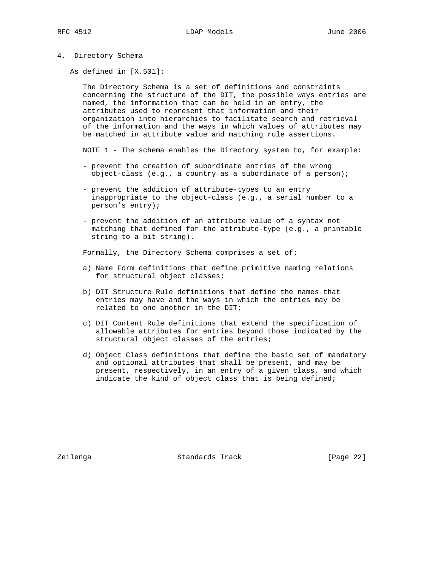4. Directory Schema

As defined in [X.501]:

 The Directory Schema is a set of definitions and constraints concerning the structure of the DIT, the possible ways entries are named, the information that can be held in an entry, the attributes used to represent that information and their organization into hierarchies to facilitate search and retrieval of the information and the ways in which values of attributes may be matched in attribute value and matching rule assertions.

NOTE 1 - The schema enables the Directory system to, for example:

- prevent the creation of subordinate entries of the wrong object-class (e.g., a country as a subordinate of a person);
- prevent the addition of attribute-types to an entry inappropriate to the object-class (e.g., a serial number to a person's entry);
- prevent the addition of an attribute value of a syntax not matching that defined for the attribute-type (e.g., a printable string to a bit string).

Formally, the Directory Schema comprises a set of:

- a) Name Form definitions that define primitive naming relations for structural object classes;
- b) DIT Structure Rule definitions that define the names that entries may have and the ways in which the entries may be related to one another in the DIT;
- c) DIT Content Rule definitions that extend the specification of allowable attributes for entries beyond those indicated by the structural object classes of the entries;
- d) Object Class definitions that define the basic set of mandatory and optional attributes that shall be present, and may be present, respectively, in an entry of a given class, and which indicate the kind of object class that is being defined;

Zeilenga Standards Track [Page 22]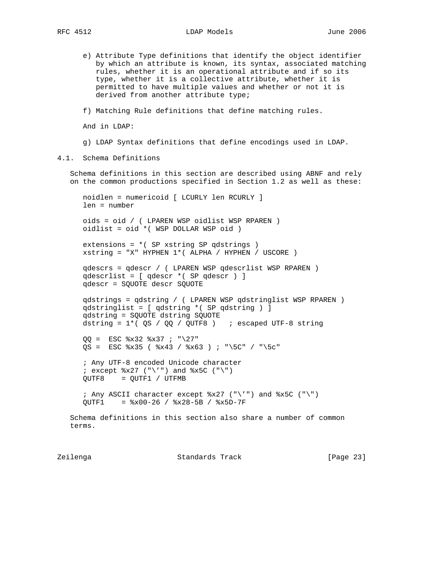RFC 4512 LDAP Models June 2006

- e) Attribute Type definitions that identify the object identifier by which an attribute is known, its syntax, associated matching rules, whether it is an operational attribute and if so its type, whether it is a collective attribute, whether it is permitted to have multiple values and whether or not it is derived from another attribute type;
- f) Matching Rule definitions that define matching rules.

And in LDAP:

- g) LDAP Syntax definitions that define encodings used in LDAP.
- 4.1. Schema Definitions

 Schema definitions in this section are described using ABNF and rely on the common productions specified in Section 1.2 as well as these:

 noidlen = numericoid [ LCURLY len RCURLY ] len = number

 oids = oid / ( LPAREN WSP oidlist WSP RPAREN ) oidlist = oid \*( WSP DOLLAR WSP oid )

 extensions = \*( SP xstring SP qdstrings ) xstring = "X" HYPHEN 1\*( ALPHA / HYPHEN / USCORE )

 qdescrs = qdescr / ( LPAREN WSP qdescrlist WSP RPAREN ) qdescrlist = [ qdescr \*( SP qdescr ) ] qdescr = SQUOTE descr SQUOTE

```
 qdstrings = qdstring / ( LPAREN WSP qdstringlist WSP RPAREN )
 qdstringlist = [ qdstring *( SP qdstring ) ]
 qdstring = SQUOTE dstring SQUOTE
dstring = 1*( QS / QQ / QUTF8 )
```

```
QQ = ESC x32 x37 ; "\27"
QS = ESC *x35 ( *x43 / *x63 ) ; "\5C" / "\5c"
```

```
 ; Any UTF-8 encoded Unicode character
i except x27 ("\'") and *x5C ("\")
 QUTF8 = QUTF1 / UTFMB
```

```
; Any ASCII character except x27 ("\'") and *x5C ("\")
 QUTF1 = %x00-26 / %x28-5B / %x5D-7F
```

```
 Schema definitions in this section also share a number of common
 terms.
```
Zeilenga Standards Track [Page 23]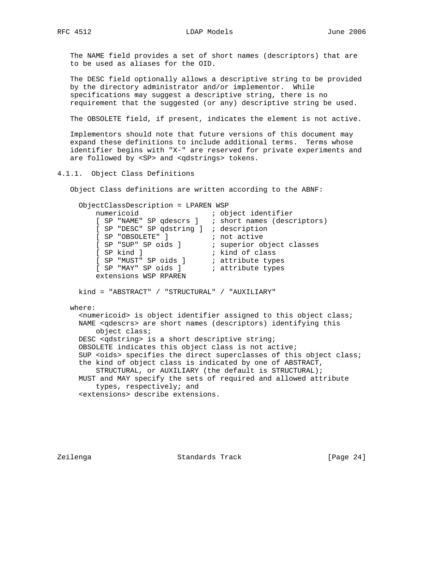The NAME field provides a set of short names (descriptors) that are to be used as aliases for the OID.

 The DESC field optionally allows a descriptive string to be provided by the directory administrator and/or implementor. While specifications may suggest a descriptive string, there is no requirement that the suggested (or any) descriptive string be used.

The OBSOLETE field, if present, indicates the element is not active.

 Implementors should note that future versions of this document may expand these definitions to include additional terms. Terms whose identifier begins with "X-" are reserved for private experiments and are followed by <SP> and <qdstrings> tokens.

4.1.1. Object Class Definitions

Object Class definitions are written according to the ABNF:

| ObjectClassDescription = LPAREN WSP                                                                                                          |                                                                                                                                                                                                         |
|----------------------------------------------------------------------------------------------------------------------------------------------|---------------------------------------------------------------------------------------------------------------------------------------------------------------------------------------------------------|
| numericoid                                                                                                                                   | ; object identifier                                                                                                                                                                                     |
|                                                                                                                                              | [ SP "NAME" SP qdescrs ] ; short names (descriptors)                                                                                                                                                    |
| [ SP "DESC" SP qdstring ] ; description                                                                                                      |                                                                                                                                                                                                         |
| [ SP "OBSOLETE" ] ; not active                                                                                                               |                                                                                                                                                                                                         |
| [ SP "SUP" SP oids ] ; superior object classes                                                                                               |                                                                                                                                                                                                         |
| [ SP kind ]                                                                                                                                  | i kind of class                                                                                                                                                                                         |
| [ SP "MUST" SP oids ] ; attribute types                                                                                                      |                                                                                                                                                                                                         |
| [ SP "MAY" SP oids ] ; attribute types                                                                                                       |                                                                                                                                                                                                         |
| extensions WSP RPAREN                                                                                                                        |                                                                                                                                                                                                         |
| where:<br>object class;<br>DESC <qdstring> is a short descriptive string;<br/>OBSOLETE indicates this object class is not active;</qdstring> | <numericoid> is object identifier assigned to this object class;<br/>NAME <qdescrs> are short names (descriptors) identifying this</qdescrs></numericoid>                                               |
| the kind of object class is indicated by one of ABSTRACT,<br>types, respectively; and<br><extensions> describe extensions.</extensions>      | SUP <oids> specifies the direct superclasses of this object class;<br/>STRUCTURAL, or AUXILIARY (the default is STRUCTURAL);<br/>MUST and MAY specify the sets of required and allowed attribute</oids> |

Zeilenga Standards Track [Page 24]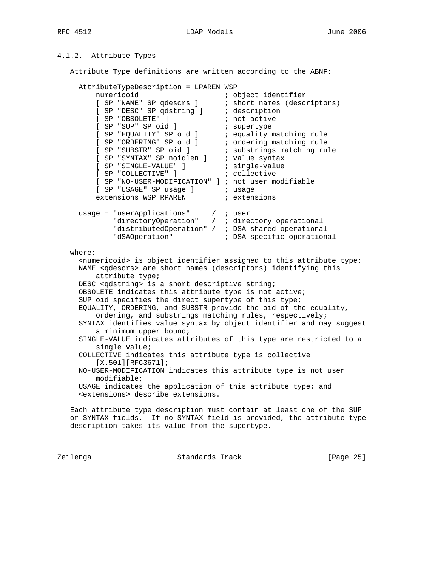## RFC 4512 LDAP Models June 2006

# 4.1.2. Attribute Types

Attribute Type definitions are written according to the ABNF:

```
 AttributeTypeDescription = LPAREN WSP
numericoid in the set object identifier
 [ SP "NAME" SP qdescrs ] ; short names (descriptors)
 [ SP "DESC" SP qdstring ] ; description
[ SP "OBSOLETE" ] \qquad \qquad ; not active
[ SP "SUP" SP oid ] (a) i supertype
[ SP "EQUALITY" SP oid ] ( ) is equality matching rule
 [ SP "ORDERING" SP oid ] ; ordering matching rule
[ SP "SUBSTR" SP oid ] ( ) ; substrings matching rule
 [ SP "SYNTAX" SP noidlen ] ; value syntax
 [ SP "SINGLE-VALUE" ] ; single-value
 [ SP "COLLECTIVE" ] ; collective
 [ SP "NO-USER-MODIFICATION" ] ; not user modifiable
        [ SP "USAGE" SP usage ] \qquad ; usage \qquad \qquad : \qquad \qquad \qquad \qquad \qquad \qquad \qquad \qquad \qquad \qquad \qquad \qquad \qquad \qquad \qquad \qquad \qquad \qquad \qquad \qquad \qquad \qquad \qquad \qquad \qquad \qquad \qquad \qquad \extensions WSP RPAREN \qquad ; extensions
 usage = "userApplications" / ; user
 "directoryOperation" / ; directory operational
"distributedOperation" / ; DSA-shared operational
              "dSAOperation" ; DSA-specific operational
   where:
      <numericoid> is object identifier assigned to this attribute type;
     NAME <qdescrs> are short names (descriptors) identifying this
         attribute type;
     DESC <qdstring> is a short descriptive string;
     OBSOLETE indicates this attribute type is not active;
     SUP oid specifies the direct supertype of this type;
     EQUALITY, ORDERING, and SUBSTR provide the oid of the equality,
         ordering, and substrings matching rules, respectively;
     SYNTAX identifies value syntax by object identifier and may suggest
         a minimum upper bound;
     SINGLE-VALUE indicates attributes of this type are restricted to a
         single value;
     COLLECTIVE indicates this attribute type is collective
        [X.501] [RFC3671];
     NO-USER-MODIFICATION indicates this attribute type is not user
         modifiable;
     USAGE indicates the application of this attribute type; and
     <extensions> describe extensions.
   Each attribute type description must contain at least one of the SUP
   or SYNTAX fields. If no SYNTAX field is provided, the attribute type
   description takes its value from the supertype.
```
Zeilenga Standards Track [Page 25]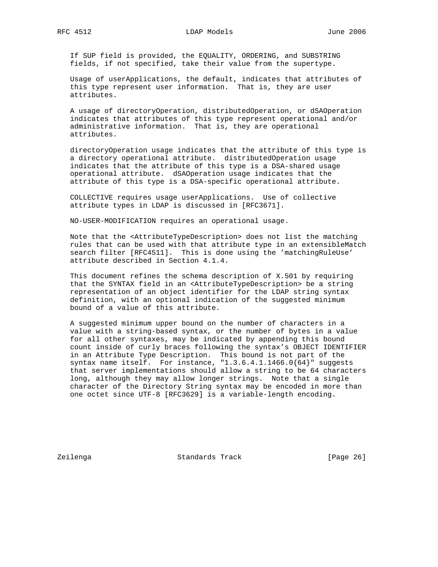RFC 4512 LDAP Models June 2006

 If SUP field is provided, the EQUALITY, ORDERING, and SUBSTRING fields, if not specified, take their value from the supertype.

 Usage of userApplications, the default, indicates that attributes of this type represent user information. That is, they are user attributes.

 A usage of directoryOperation, distributedOperation, or dSAOperation indicates that attributes of this type represent operational and/or administrative information. That is, they are operational attributes.

 directoryOperation usage indicates that the attribute of this type is a directory operational attribute. distributedOperation usage indicates that the attribute of this type is a DSA-shared usage operational attribute. dSAOperation usage indicates that the attribute of this type is a DSA-specific operational attribute.

 COLLECTIVE requires usage userApplications. Use of collective attribute types in LDAP is discussed in [RFC3671].

NO-USER-MODIFICATION requires an operational usage.

 Note that the <AttributeTypeDescription> does not list the matching rules that can be used with that attribute type in an extensibleMatch search filter [RFC4511]. This is done using the 'matchingRuleUse' attribute described in Section 4.1.4.

 This document refines the schema description of X.501 by requiring that the SYNTAX field in an <AttributeTypeDescription> be a string representation of an object identifier for the LDAP string syntax definition, with an optional indication of the suggested minimum bound of a value of this attribute.

 A suggested minimum upper bound on the number of characters in a value with a string-based syntax, or the number of bytes in a value for all other syntaxes, may be indicated by appending this bound count inside of curly braces following the syntax's OBJECT IDENTIFIER in an Attribute Type Description. This bound is not part of the syntax name itself. For instance, "1.3.6.4.1.1466.0{64}" suggests that server implementations should allow a string to be 64 characters long, although they may allow longer strings. Note that a single character of the Directory String syntax may be encoded in more than one octet since UTF-8 [RFC3629] is a variable-length encoding.

Zeilenga Standards Track [Page 26]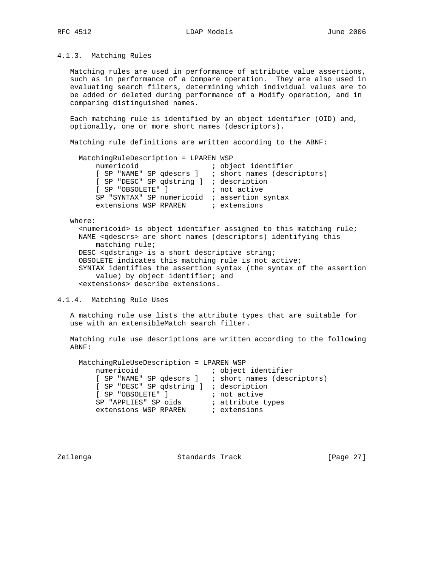## 4.1.3. Matching Rules

 Matching rules are used in performance of attribute value assertions, such as in performance of a Compare operation. They are also used in evaluating search filters, determining which individual values are to be added or deleted during performance of a Modify operation, and in comparing distinguished names.

 Each matching rule is identified by an object identifier (OID) and, optionally, one or more short names (descriptors).

Matching rule definitions are written according to the ABNF:

| MatchingRuleDescription = LPAREN WSP                 |                     |
|------------------------------------------------------|---------------------|
| numericoid                                           | ; object identifier |
| [ SP "NAME" SP qdescrs ] ; short names (descriptors) |                     |
| [ SP "DESC" SP qdstring ] ; description              |                     |
| [ SP "OBSOLETE" ] [ ] ; not active                   |                     |
| SP "SYNTAX" SP numericoid ; assertion syntax         |                     |
| extensions WSP RPAREN ; extensions                   |                     |

#### where:

 $s$ numericoid> is object identifier assigned to this matching rule; NAME <qdescrs> are short names (descriptors) identifying this matching rule; DESC <qdstring> is a short descriptive string; OBSOLETE indicates this matching rule is not active; SYNTAX identifies the assertion syntax (the syntax of the assertion value) by object identifier; and <extensions> describe extensions.

#### 4.1.4. Matching Rule Uses

 A matching rule use lists the attribute types that are suitable for use with an extensibleMatch search filter.

 Matching rule use descriptions are written according to the following ABNF:

 MatchingRuleUseDescription = LPAREN WSP numericoid  $\qquad \qquad ;$  object identifier [ SP "NAME" SP qdescrs ] ; short names (descriptors) [ SP "DESC" SP qdstring ] ; description [ SP "OBSOLETE" ]  $\qquad \qquad ;$  not active SP "APPLIES" SP oids in attribute types extensions WSP RPAREN  $\qquad$  ; extensions

Zeilenga Standards Track [Page 27]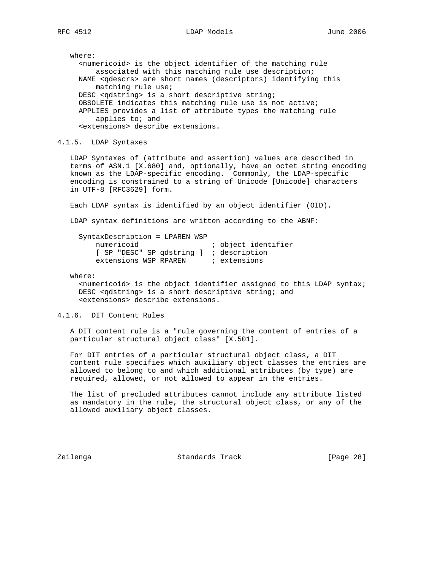where: <numericoid> is the object identifier of the matching rule associated with this matching rule use description; NAME <qdescrs> are short names (descriptors) identifying this matching rule use; DESC <qdstring> is a short descriptive string; OBSOLETE indicates this matching rule use is not active; APPLIES provides a list of attribute types the matching rule applies to; and <extensions> describe extensions.

4.1.5. LDAP Syntaxes

 LDAP Syntaxes of (attribute and assertion) values are described in terms of ASN.1 [X.680] and, optionally, have an octet string encoding known as the LDAP-specific encoding. Commonly, the LDAP-specific encoding is constrained to a string of Unicode [Unicode] characters in UTF-8 [RFC3629] form.

Each LDAP syntax is identified by an object identifier (OID).

LDAP syntax definitions are written according to the ABNF:

| SyntaxDescription = LPAREN WSP          |                     |
|-----------------------------------------|---------------------|
| numericoid                              | ; object identifier |
| [ SP "DESC" SP qdstring ] ; description |                     |
| extensions WSP RPAREN                   | ; extensions        |

where:

 $\epsilon$ numericoid> is the object identifier assigned to this LDAP syntax; DESC <qdstring> is a short descriptive string; and <extensions> describe extensions.

## 4.1.6. DIT Content Rules

 A DIT content rule is a "rule governing the content of entries of a particular structural object class" [X.501].

 For DIT entries of a particular structural object class, a DIT content rule specifies which auxiliary object classes the entries are allowed to belong to and which additional attributes (by type) are required, allowed, or not allowed to appear in the entries.

 The list of precluded attributes cannot include any attribute listed as mandatory in the rule, the structural object class, or any of the allowed auxiliary object classes.

Zeilenga Standards Track [Page 28]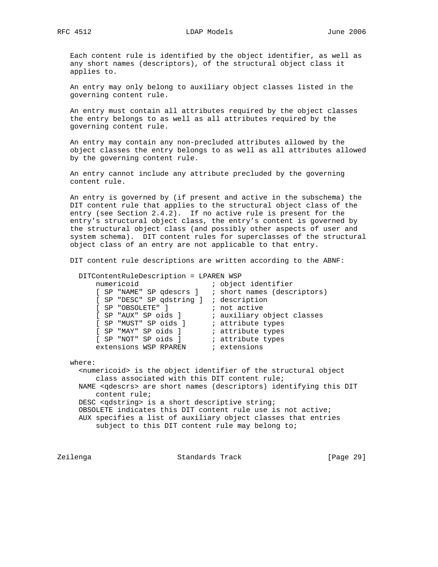Each content rule is identified by the object identifier, as well as any short names (descriptors), of the structural object class it applies to.

 An entry may only belong to auxiliary object classes listed in the governing content rule.

 An entry must contain all attributes required by the object classes the entry belongs to as well as all attributes required by the governing content rule.

 An entry may contain any non-precluded attributes allowed by the object classes the entry belongs to as well as all attributes allowed by the governing content rule.

 An entry cannot include any attribute precluded by the governing content rule.

 An entry is governed by (if present and active in the subschema) the DIT content rule that applies to the structural object class of the entry (see Section 2.4.2). If no active rule is present for the entry's structural object class, the entry's content is governed by the structural object class (and possibly other aspects of user and system schema). DIT content rules for superclasses of the structural object class of an entry are not applicable to that entry.

DIT content rule descriptions are written according to the ABNF:

 DITContentRuleDescription = LPAREN WSP numericoid identifier in the set of the numericoid [ SP "NAME" SP qdescrs ] ; short names (descriptors) [ SP "DESC" SP qdstring ] ; description [ SP "OBSOLETE" ]  $\qquad \qquad ;$  not active [ SP "AUX" SP oids ] ; auxiliary object classes [ SP "MUST" SP oids ] ; attribute types [ SP "MAY" SP oids ] ( ) is attribute types [ SP "NOT" SP oids ] ( ) is attribute types extensions WSP RPAREN  $\qquad$  ; extensions

where:

 <numericoid> is the object identifier of the structural object class associated with this DIT content rule; NAME <qdescrs> are short names (descriptors) identifying this DIT content rule; DESC <qdstring> is a short descriptive string; OBSOLETE indicates this DIT content rule use is not active; AUX specifies a list of auxiliary object classes that entries subject to this DIT content rule may belong to;

Zeilenga Standards Track [Page 29]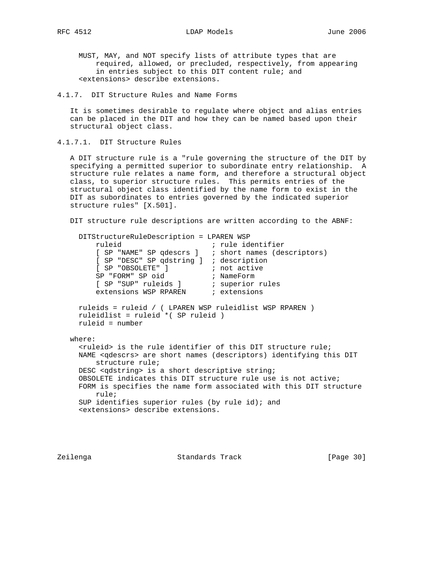MUST, MAY, and NOT specify lists of attribute types that are required, allowed, or precluded, respectively, from appearing in entries subject to this DIT content rule; and <extensions> describe extensions.

4.1.7. DIT Structure Rules and Name Forms

 It is sometimes desirable to regulate where object and alias entries can be placed in the DIT and how they can be named based upon their structural object class.

4.1.7.1. DIT Structure Rules

 A DIT structure rule is a "rule governing the structure of the DIT by specifying a permitted superior to subordinate entry relationship. A structure rule relates a name form, and therefore a structural object class, to superior structure rules. This permits entries of the structural object class identified by the name form to exist in the DIT as subordinates to entries governed by the indicated superior structure rules" [X.501].

DIT structure rule descriptions are written according to the ABNF:

```
 DITStructureRuleDescription = LPAREN WSP
         ruleid ; rule identifier
 [ SP "NAME" SP qdescrs ] ; short names (descriptors)
 [ SP "DESC" SP qdstring ] ; description
         [ SP "OBSOLETE" ] \begin{array}{ccc} i & \text{not active} \\ \text{SP} & \text{FPORM} & \text{SP} & \text{oid} \end{array} ; not active
SP "FORM" SP oid \qquad ; NameForm
 [ SP "SUP" ruleids ] ; superior rules
extensions WSP RPAREN \qquad ; extensions
     ruleids = ruleid / ( LPAREN WSP ruleidlist WSP RPAREN )
     ruleidlist = ruleid *( SP ruleid )
     ruleid = number
   where:
      <ruleid> is the rule identifier of this DIT structure rule;
     NAME <qdescrs> are short names (descriptors) identifying this DIT
         structure rule;
     DESC <qdstring> is a short descriptive string;
     OBSOLETE indicates this DIT structure rule use is not active;
     FORM is specifies the name form associated with this DIT structure
         rule;
    SUP identifies superior rules (by rule id); and
      <extensions> describe extensions.
```
Zeilenga Standards Track [Page 30]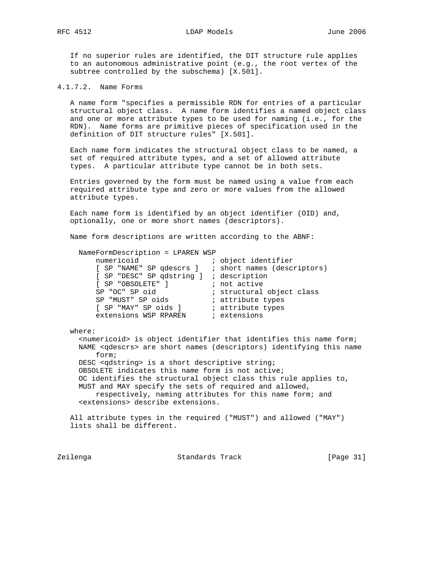If no superior rules are identified, the DIT structure rule applies to an autonomous administrative point (e.g., the root vertex of the subtree controlled by the subschema) [X.501].

4.1.7.2. Name Forms

 A name form "specifies a permissible RDN for entries of a particular structural object class. A name form identifies a named object class and one or more attribute types to be used for naming (i.e., for the RDN). Name forms are primitive pieces of specification used in the definition of DIT structure rules" [X.501].

 Each name form indicates the structural object class to be named, a set of required attribute types, and a set of allowed attribute types. A particular attribute type cannot be in both sets.

 Entries governed by the form must be named using a value from each required attribute type and zero or more values from the allowed attribute types.

 Each name form is identified by an object identifier (OID) and, optionally, one or more short names (descriptors).

Name form descriptions are written according to the ABNF:

| NameFormDescription = LPAREN WSP                     |                           |
|------------------------------------------------------|---------------------------|
| numericoid                                           | ; object identifier       |
| [ SP "NAME" SP qdescrs ] ; short names (descriptors) |                           |
| [ SP "DESC" SP qdstring ] ; description              |                           |
| [ SP "OBSOLETE" ]                                    | ; not active              |
| SP "OC" SP oid                                       | ; structural object class |
| SP "MUST" SP oids                                    | ; attribute types         |
| [ SP "MAY" SP oids ]                                 | ; attribute types         |
| extensions WSP RPAREN                                | ; extensions              |
|                                                      |                           |

where:

 <numericoid> is object identifier that identifies this name form; NAME <qdescrs> are short names (descriptors) identifying this name form; DESC <qdstring> is a short descriptive string; OBSOLETE indicates this name form is not active; OC identifies the structural object class this rule applies to, MUST and MAY specify the sets of required and allowed, respectively, naming attributes for this name form; and <extensions> describe extensions.

 All attribute types in the required ("MUST") and allowed ("MAY") lists shall be different.

Zeilenga Standards Track [Page 31]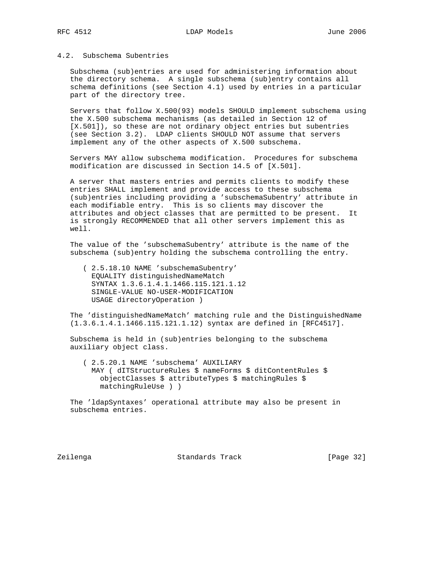## 4.2. Subschema Subentries

 Subschema (sub)entries are used for administering information about the directory schema. A single subschema (sub)entry contains all schema definitions (see Section 4.1) used by entries in a particular part of the directory tree.

 Servers that follow X.500(93) models SHOULD implement subschema using the X.500 subschema mechanisms (as detailed in Section 12 of [X.501]), so these are not ordinary object entries but subentries (see Section 3.2). LDAP clients SHOULD NOT assume that servers implement any of the other aspects of X.500 subschema.

 Servers MAY allow subschema modification. Procedures for subschema modification are discussed in Section 14.5 of [X.501].

 A server that masters entries and permits clients to modify these entries SHALL implement and provide access to these subschema (sub)entries including providing a 'subschemaSubentry' attribute in each modifiable entry. This is so clients may discover the attributes and object classes that are permitted to be present. It is strongly RECOMMENDED that all other servers implement this as well.

 The value of the 'subschemaSubentry' attribute is the name of the subschema (sub)entry holding the subschema controlling the entry.

 ( 2.5.18.10 NAME 'subschemaSubentry' EQUALITY distinguishedNameMatch SYNTAX 1.3.6.1.4.1.1466.115.121.1.12 SINGLE-VALUE NO-USER-MODIFICATION USAGE directoryOperation )

 The 'distinguishedNameMatch' matching rule and the DistinguishedName (1.3.6.1.4.1.1466.115.121.1.12) syntax are defined in [RFC4517].

 Subschema is held in (sub)entries belonging to the subschema auxiliary object class.

 ( 2.5.20.1 NAME 'subschema' AUXILIARY MAY ( dITStructureRules \$ nameForms \$ ditContentRules \$ objectClasses \$ attributeTypes \$ matchingRules \$ matchingRuleUse ) )

 The 'ldapSyntaxes' operational attribute may also be present in subschema entries.

Zeilenga Standards Track [Page 32]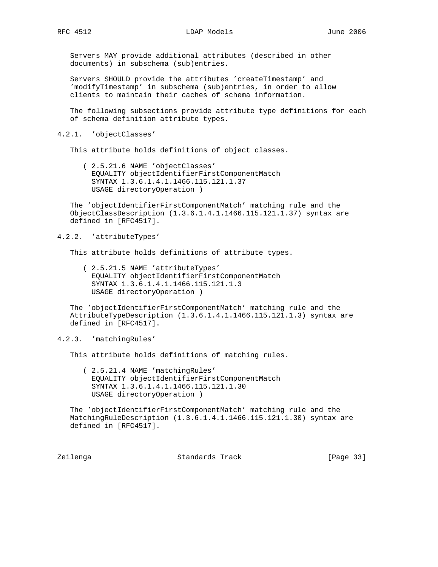Servers MAY provide additional attributes (described in other documents) in subschema (sub)entries.

 Servers SHOULD provide the attributes 'createTimestamp' and 'modifyTimestamp' in subschema (sub)entries, in order to allow clients to maintain their caches of schema information.

 The following subsections provide attribute type definitions for each of schema definition attribute types.

#### 4.2.1. 'objectClasses'

This attribute holds definitions of object classes.

 ( 2.5.21.6 NAME 'objectClasses' EQUALITY objectIdentifierFirstComponentMatch SYNTAX 1.3.6.1.4.1.1466.115.121.1.37 USAGE directoryOperation )

 The 'objectIdentifierFirstComponentMatch' matching rule and the ObjectClassDescription (1.3.6.1.4.1.1466.115.121.1.37) syntax are defined in [RFC4517].

### 4.2.2. 'attributeTypes'

This attribute holds definitions of attribute types.

 ( 2.5.21.5 NAME 'attributeTypes' EQUALITY objectIdentifierFirstComponentMatch SYNTAX 1.3.6.1.4.1.1466.115.121.1.3 USAGE directoryOperation )

 The 'objectIdentifierFirstComponentMatch' matching rule and the AttributeTypeDescription (1.3.6.1.4.1.1466.115.121.1.3) syntax are defined in [RFC4517].

4.2.3. 'matchingRules'

This attribute holds definitions of matching rules.

 ( 2.5.21.4 NAME 'matchingRules' EQUALITY objectIdentifierFirstComponentMatch SYNTAX 1.3.6.1.4.1.1466.115.121.1.30 USAGE directoryOperation )

 The 'objectIdentifierFirstComponentMatch' matching rule and the MatchingRuleDescription (1.3.6.1.4.1.1466.115.121.1.30) syntax are defined in [RFC4517].

Zeilenga Standards Track [Page 33]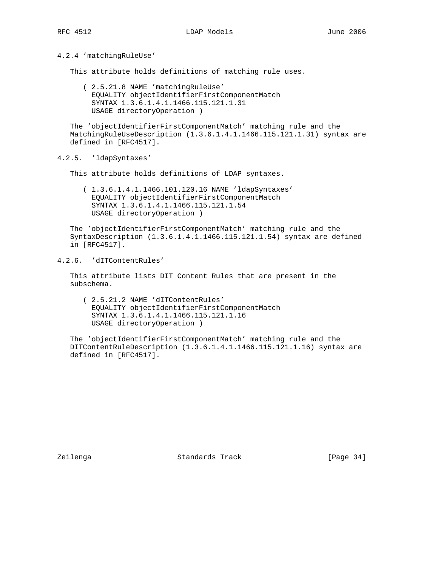### 4.2.4 'matchingRuleUse'

This attribute holds definitions of matching rule uses.

 ( 2.5.21.8 NAME 'matchingRuleUse' EQUALITY objectIdentifierFirstComponentMatch SYNTAX 1.3.6.1.4.1.1466.115.121.1.31 USAGE directoryOperation )

 The 'objectIdentifierFirstComponentMatch' matching rule and the MatchingRuleUseDescription (1.3.6.1.4.1.1466.115.121.1.31) syntax are defined in [RFC4517].

## 4.2.5. 'ldapSyntaxes'

This attribute holds definitions of LDAP syntaxes.

 ( 1.3.6.1.4.1.1466.101.120.16 NAME 'ldapSyntaxes' EQUALITY objectIdentifierFirstComponentMatch SYNTAX 1.3.6.1.4.1.1466.115.121.1.54 USAGE directoryOperation )

 The 'objectIdentifierFirstComponentMatch' matching rule and the SyntaxDescription (1.3.6.1.4.1.1466.115.121.1.54) syntax are defined in [RFC4517].

## 4.2.6. 'dITContentRules'

 This attribute lists DIT Content Rules that are present in the subschema.

 ( 2.5.21.2 NAME 'dITContentRules' EQUALITY objectIdentifierFirstComponentMatch SYNTAX 1.3.6.1.4.1.1466.115.121.1.16 USAGE directoryOperation )

 The 'objectIdentifierFirstComponentMatch' matching rule and the DITContentRuleDescription (1.3.6.1.4.1.1466.115.121.1.16) syntax are defined in [RFC4517].

Zeilenga Standards Track [Page 34]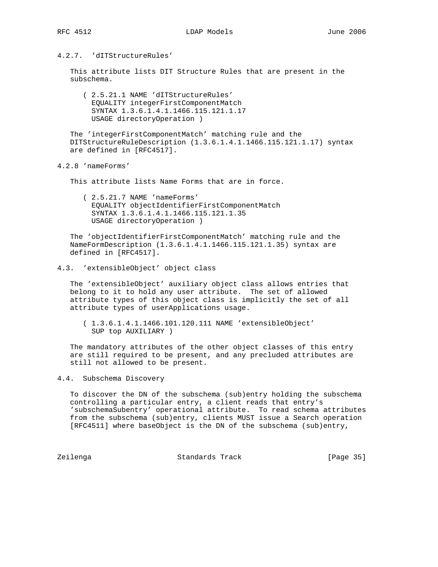# 4.2.7. 'dITStructureRules'

 This attribute lists DIT Structure Rules that are present in the subschema.

 ( 2.5.21.1 NAME 'dITStructureRules' EQUALITY integerFirstComponentMatch SYNTAX 1.3.6.1.4.1.1466.115.121.1.17 USAGE directoryOperation )

 The 'integerFirstComponentMatch' matching rule and the DITStructureRuleDescription (1.3.6.1.4.1.1466.115.121.1.17) syntax are defined in [RFC4517].

4.2.8 'nameForms'

This attribute lists Name Forms that are in force.

 ( 2.5.21.7 NAME 'nameForms' EQUALITY objectIdentifierFirstComponentMatch SYNTAX 1.3.6.1.4.1.1466.115.121.1.35 USAGE directoryOperation )

 The 'objectIdentifierFirstComponentMatch' matching rule and the NameFormDescription (1.3.6.1.4.1.1466.115.121.1.35) syntax are defined in [RFC4517].

### 4.3. 'extensibleObject' object class

 The 'extensibleObject' auxiliary object class allows entries that belong to it to hold any user attribute. The set of allowed attribute types of this object class is implicitly the set of all attribute types of userApplications usage.

 ( 1.3.6.1.4.1.1466.101.120.111 NAME 'extensibleObject' SUP top AUXILIARY )

 The mandatory attributes of the other object classes of this entry are still required to be present, and any precluded attributes are still not allowed to be present.

## 4.4. Subschema Discovery

 To discover the DN of the subschema (sub)entry holding the subschema controlling a particular entry, a client reads that entry's 'subschemaSubentry' operational attribute. To read schema attributes from the subschema (sub)entry, clients MUST issue a Search operation [RFC4511] where baseObject is the DN of the subschema (sub)entry,

Zeilenga Standards Track [Page 35]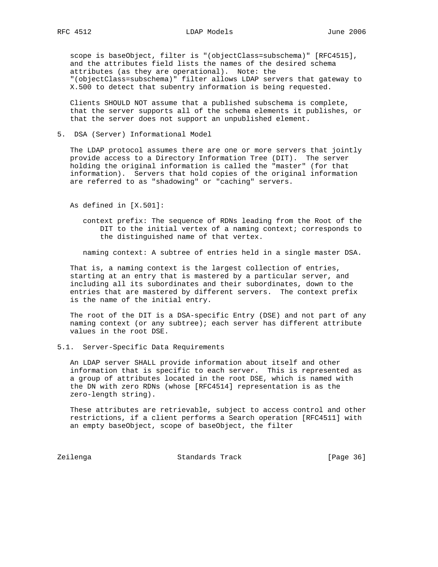scope is baseObject, filter is "(objectClass=subschema)" [RFC4515], and the attributes field lists the names of the desired schema attributes (as they are operational). Note: the "(objectClass=subschema)" filter allows LDAP servers that gateway to X.500 to detect that subentry information is being requested.

 Clients SHOULD NOT assume that a published subschema is complete, that the server supports all of the schema elements it publishes, or that the server does not support an unpublished element.

5. DSA (Server) Informational Model

 The LDAP protocol assumes there are one or more servers that jointly provide access to a Directory Information Tree (DIT). The server holding the original information is called the "master" (for that information). Servers that hold copies of the original information are referred to as "shadowing" or "caching" servers.

As defined in [X.501]:

 context prefix: The sequence of RDNs leading from the Root of the DIT to the initial vertex of a naming context; corresponds to the distinguished name of that vertex.

naming context: A subtree of entries held in a single master DSA.

 That is, a naming context is the largest collection of entries, starting at an entry that is mastered by a particular server, and including all its subordinates and their subordinates, down to the entries that are mastered by different servers. The context prefix is the name of the initial entry.

 The root of the DIT is a DSA-specific Entry (DSE) and not part of any naming context (or any subtree); each server has different attribute values in the root DSE.

5.1. Server-Specific Data Requirements

 An LDAP server SHALL provide information about itself and other information that is specific to each server. This is represented as a group of attributes located in the root DSE, which is named with the DN with zero RDNs (whose [RFC4514] representation is as the zero-length string).

 These attributes are retrievable, subject to access control and other restrictions, if a client performs a Search operation [RFC4511] with an empty baseObject, scope of baseObject, the filter

Zeilenga Standards Track [Page 36]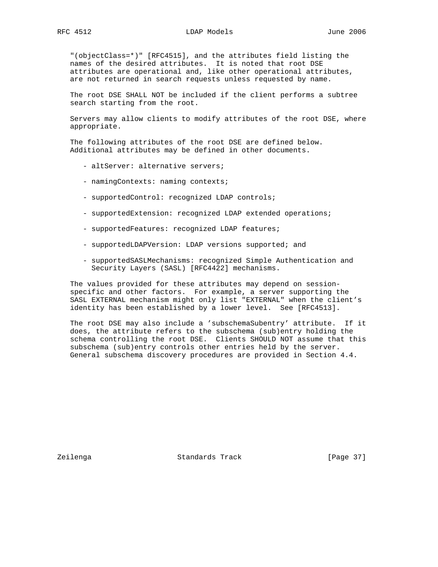"(objectClass=\*)" [RFC4515], and the attributes field listing the names of the desired attributes. It is noted that root DSE attributes are operational and, like other operational attributes, are not returned in search requests unless requested by name.

 The root DSE SHALL NOT be included if the client performs a subtree search starting from the root.

 Servers may allow clients to modify attributes of the root DSE, where appropriate.

 The following attributes of the root DSE are defined below. Additional attributes may be defined in other documents.

- altServer: alternative servers;
- namingContexts: naming contexts;
- supportedControl: recognized LDAP controls;
- supportedExtension: recognized LDAP extended operations;
- supportedFeatures: recognized LDAP features;
- supportedLDAPVersion: LDAP versions supported; and
- supportedSASLMechanisms: recognized Simple Authentication and Security Layers (SASL) [RFC4422] mechanisms.

 The values provided for these attributes may depend on session specific and other factors. For example, a server supporting the SASL EXTERNAL mechanism might only list "EXTERNAL" when the client's identity has been established by a lower level. See [RFC4513].

 The root DSE may also include a 'subschemaSubentry' attribute. If it does, the attribute refers to the subschema (sub)entry holding the schema controlling the root DSE. Clients SHOULD NOT assume that this subschema (sub)entry controls other entries held by the server. General subschema discovery procedures are provided in Section 4.4.

Zeilenga Standards Track [Page 37]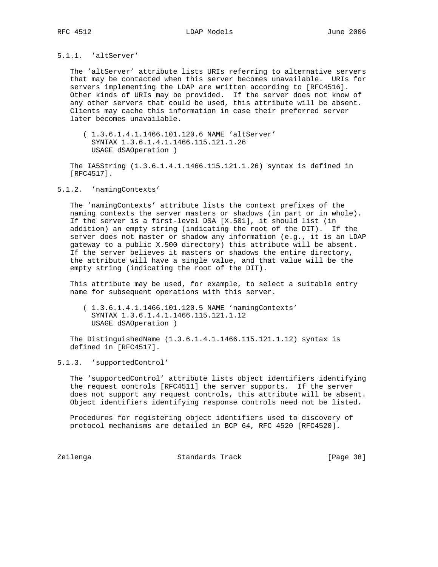## 5.1.1. 'altServer'

 The 'altServer' attribute lists URIs referring to alternative servers that may be contacted when this server becomes unavailable. URIs for servers implementing the LDAP are written according to [RFC4516]. Other kinds of URIs may be provided. If the server does not know of any other servers that could be used, this attribute will be absent. Clients may cache this information in case their preferred server later becomes unavailable.

 ( 1.3.6.1.4.1.1466.101.120.6 NAME 'altServer' SYNTAX 1.3.6.1.4.1.1466.115.121.1.26 USAGE dSAOperation )

 The IA5String (1.3.6.1.4.1.1466.115.121.1.26) syntax is defined in [RFC4517].

#### 5.1.2. 'namingContexts'

 The 'namingContexts' attribute lists the context prefixes of the naming contexts the server masters or shadows (in part or in whole). If the server is a first-level DSA [X.501], it should list (in addition) an empty string (indicating the root of the DIT). If the server does not master or shadow any information (e.g., it is an LDAP gateway to a public X.500 directory) this attribute will be absent. If the server believes it masters or shadows the entire directory, the attribute will have a single value, and that value will be the empty string (indicating the root of the DIT).

 This attribute may be used, for example, to select a suitable entry name for subsequent operations with this server.

 ( 1.3.6.1.4.1.1466.101.120.5 NAME 'namingContexts' SYNTAX 1.3.6.1.4.1.1466.115.121.1.12 USAGE dSAOperation )

 The DistinguishedName (1.3.6.1.4.1.1466.115.121.1.12) syntax is defined in [RFC4517].

5.1.3. 'supportedControl'

 The 'supportedControl' attribute lists object identifiers identifying the request controls [RFC4511] the server supports. If the server does not support any request controls, this attribute will be absent. Object identifiers identifying response controls need not be listed.

 Procedures for registering object identifiers used to discovery of protocol mechanisms are detailed in BCP 64, RFC 4520 [RFC4520].

Zeilenga Standards Track [Page 38]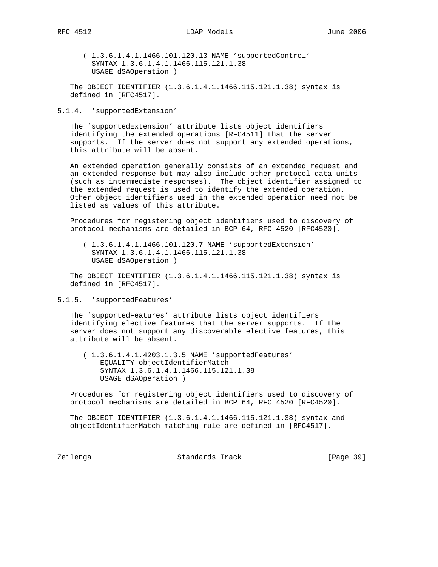( 1.3.6.1.4.1.1466.101.120.13 NAME 'supportedControl' SYNTAX 1.3.6.1.4.1.1466.115.121.1.38 USAGE dSAOperation )

 The OBJECT IDENTIFIER (1.3.6.1.4.1.1466.115.121.1.38) syntax is defined in [RFC4517].

#### 5.1.4. 'supportedExtension'

 The 'supportedExtension' attribute lists object identifiers identifying the extended operations [RFC4511] that the server supports. If the server does not support any extended operations, this attribute will be absent.

 An extended operation generally consists of an extended request and an extended response but may also include other protocol data units (such as intermediate responses). The object identifier assigned to the extended request is used to identify the extended operation. Other object identifiers used in the extended operation need not be listed as values of this attribute.

 Procedures for registering object identifiers used to discovery of protocol mechanisms are detailed in BCP 64, RFC 4520 [RFC4520].

 ( 1.3.6.1.4.1.1466.101.120.7 NAME 'supportedExtension' SYNTAX 1.3.6.1.4.1.1466.115.121.1.38 USAGE dSAOperation )

 The OBJECT IDENTIFIER (1.3.6.1.4.1.1466.115.121.1.38) syntax is defined in [RFC4517].

5.1.5. 'supportedFeatures'

 The 'supportedFeatures' attribute lists object identifiers identifying elective features that the server supports. If the server does not support any discoverable elective features, this attribute will be absent.

 ( 1.3.6.1.4.1.4203.1.3.5 NAME 'supportedFeatures' EQUALITY objectIdentifierMatch SYNTAX 1.3.6.1.4.1.1466.115.121.1.38 USAGE dSAOperation )

 Procedures for registering object identifiers used to discovery of protocol mechanisms are detailed in BCP 64, RFC 4520 [RFC4520].

 The OBJECT IDENTIFIER (1.3.6.1.4.1.1466.115.121.1.38) syntax and objectIdentifierMatch matching rule are defined in [RFC4517].

Zeilenga Standards Track [Page 39]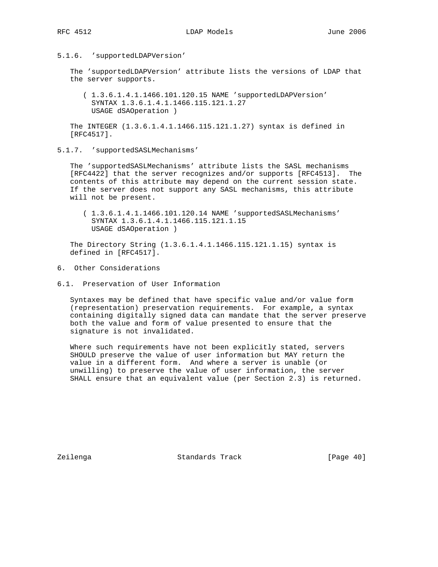### 5.1.6. 'supportedLDAPVersion'

 The 'supportedLDAPVersion' attribute lists the versions of LDAP that the server supports.

 ( 1.3.6.1.4.1.1466.101.120.15 NAME 'supportedLDAPVersion' SYNTAX 1.3.6.1.4.1.1466.115.121.1.27 USAGE dSAOperation )

 The INTEGER (1.3.6.1.4.1.1466.115.121.1.27) syntax is defined in [RFC4517].

5.1.7. 'supportedSASLMechanisms'

 The 'supportedSASLMechanisms' attribute lists the SASL mechanisms [RFC4422] that the server recognizes and/or supports [RFC4513]. The contents of this attribute may depend on the current session state. If the server does not support any SASL mechanisms, this attribute will not be present.

 ( 1.3.6.1.4.1.1466.101.120.14 NAME 'supportedSASLMechanisms' SYNTAX 1.3.6.1.4.1.1466.115.121.1.15 USAGE dSAOperation )

 The Directory String (1.3.6.1.4.1.1466.115.121.1.15) syntax is defined in [RFC4517].

- 6. Other Considerations
- 6.1. Preservation of User Information

 Syntaxes may be defined that have specific value and/or value form (representation) preservation requirements. For example, a syntax containing digitally signed data can mandate that the server preserve both the value and form of value presented to ensure that the signature is not invalidated.

 Where such requirements have not been explicitly stated, servers SHOULD preserve the value of user information but MAY return the value in a different form. And where a server is unable (or unwilling) to preserve the value of user information, the server SHALL ensure that an equivalent value (per Section 2.3) is returned.

Zeilenga **Standards Track** [Page 40]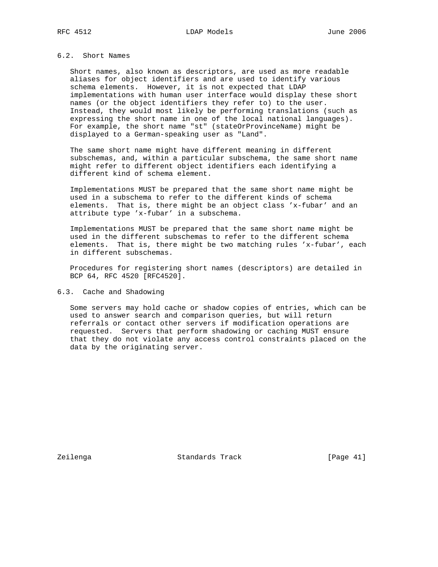Short names, also known as descriptors, are used as more readable aliases for object identifiers and are used to identify various schema elements. However, it is not expected that LDAP implementations with human user interface would display these short names (or the object identifiers they refer to) to the user. Instead, they would most likely be performing translations (such as expressing the short name in one of the local national languages). For example, the short name "st" (stateOrProvinceName) might be displayed to a German-speaking user as "Land".

 The same short name might have different meaning in different subschemas, and, within a particular subschema, the same short name might refer to different object identifiers each identifying a different kind of schema element.

 Implementations MUST be prepared that the same short name might be used in a subschema to refer to the different kinds of schema elements. That is, there might be an object class 'x-fubar' and an attribute type 'x-fubar' in a subschema.

 Implementations MUST be prepared that the same short name might be used in the different subschemas to refer to the different schema elements. That is, there might be two matching rules 'x-fubar', each in different subschemas.

 Procedures for registering short names (descriptors) are detailed in BCP 64, RFC 4520 [RFC4520].

6.3. Cache and Shadowing

 Some servers may hold cache or shadow copies of entries, which can be used to answer search and comparison queries, but will return referrals or contact other servers if modification operations are requested. Servers that perform shadowing or caching MUST ensure that they do not violate any access control constraints placed on the data by the originating server.

Zeilenga Standards Track [Page 41]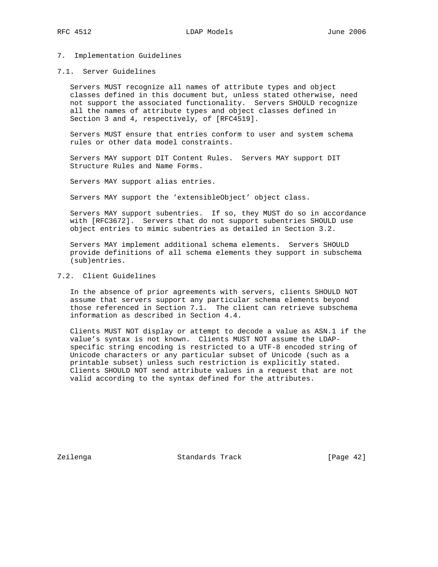### 7. Implementation Guidelines

### 7.1. Server Guidelines

 Servers MUST recognize all names of attribute types and object classes defined in this document but, unless stated otherwise, need not support the associated functionality. Servers SHOULD recognize all the names of attribute types and object classes defined in Section 3 and 4, respectively, of [RFC4519].

 Servers MUST ensure that entries conform to user and system schema rules or other data model constraints.

 Servers MAY support DIT Content Rules. Servers MAY support DIT Structure Rules and Name Forms.

Servers MAY support alias entries.

Servers MAY support the 'extensibleObject' object class.

 Servers MAY support subentries. If so, they MUST do so in accordance with [RFC3672]. Servers that do not support subentries SHOULD use object entries to mimic subentries as detailed in Section 3.2.

 Servers MAY implement additional schema elements. Servers SHOULD provide definitions of all schema elements they support in subschema (sub)entries.

## 7.2. Client Guidelines

 In the absence of prior agreements with servers, clients SHOULD NOT assume that servers support any particular schema elements beyond those referenced in Section 7.1. The client can retrieve subschema information as described in Section 4.4.

 Clients MUST NOT display or attempt to decode a value as ASN.1 if the value's syntax is not known. Clients MUST NOT assume the LDAP specific string encoding is restricted to a UTF-8 encoded string of Unicode characters or any particular subset of Unicode (such as a printable subset) unless such restriction is explicitly stated. Clients SHOULD NOT send attribute values in a request that are not valid according to the syntax defined for the attributes.

Zeilenga Standards Track [Page 42]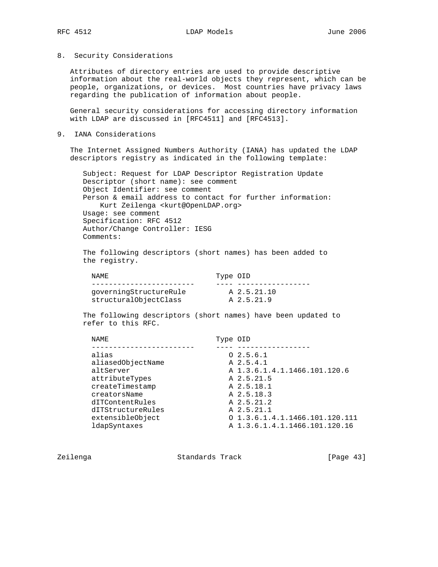8. Security Considerations

 Attributes of directory entries are used to provide descriptive information about the real-world objects they represent, which can be people, organizations, or devices. Most countries have privacy laws regarding the publication of information about people.

 General security considerations for accessing directory information with LDAP are discussed in [RFC4511] and [RFC4513].

9. IANA Considerations

 The Internet Assigned Numbers Authority (IANA) has updated the LDAP descriptors registry as indicated in the following template:

 Subject: Request for LDAP Descriptor Registration Update Descriptor (short name): see comment Object Identifier: see comment Person & email address to contact for further information: Kurt Zeilenga <kurt@OpenLDAP.org> Usage: see comment Specification: RFC 4512 Author/Change Controller: IESG Comments:

 The following descriptors (short names) has been added to the registry.

| NAME.                  | Type OID    |
|------------------------|-------------|
|                        |             |
| qoverningStructureRule | A 2.5.21.10 |
| structuralObjectClass  | A 2.5.21.9  |

 The following descriptors (short names) have been updated to refer to this RFC.

| NAME              | Type OID |                                   |
|-------------------|----------|-----------------------------------|
|                   |          |                                   |
| alias             |          | 02.5.6.1                          |
| aliasedObjectName |          | A 2.5.4.1                         |
| altServer         |          | A 1.3.6.1.4.1.1466.101.120.6      |
| attributeTypes    |          | A 2.5.21.5                        |
| createTimestamp   |          | A 2.5.18.1                        |
| creatorsName      |          | A 2.5.18.3                        |
| dITContentRules   |          | A 2.5.21.2                        |
| dITStructureRules |          | A 2.5.21.1                        |
| extensibleObject  |          | $0\ 1.3.6.1.4.1.1466.101.120.111$ |
| ldapSyntaxes      |          | A 1.3.6.1.4.1.1466.101.120.16     |
|                   |          |                                   |

Zeilenga Standards Track [Page 43]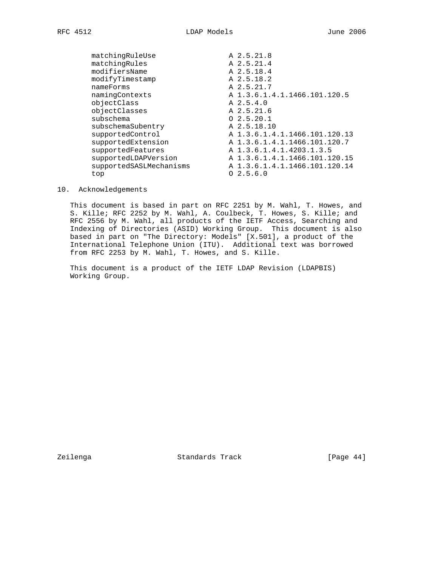matchingRuleUse A 2.5.21.8 matchingRules A 2.5.21.4 modifiersName A 2.5.18.4 modifyTimestamp  $A$  2.5.18.2 nameForms A 2.5.21.7 namingContexts A 1.3.6.1.4.1.1466.101.120.5 objectClass A 2.5.4.0 objectClasses A 2.5.21.6 subschema  $0\quad 2.5.20.1$  subschemaSubentry A 2.5.18.10 supportedControl A 1.3.6.1.4.1.1466.101.120.13 supportedExtension A 1.3.6.1.4.1.1466.101.120.7 supportedFeatures A 1.3.6.1.4.1.4203.1.3.5 supportedLDAPVersion A 1.3.6.1.4.1.1466.101.120.15 supportedSASLMechanisms A 1.3.6.1.4.1.1466.101.120.14 top O 2.5.6.0

10. Acknowledgements

 This document is based in part on RFC 2251 by M. Wahl, T. Howes, and S. Kille; RFC 2252 by M. Wahl, A. Coulbeck, T. Howes, S. Kille; and RFC 2556 by M. Wahl, all products of the IETF Access, Searching and Indexing of Directories (ASID) Working Group. This document is also based in part on "The Directory: Models" [X.501], a product of the International Telephone Union (ITU). Additional text was borrowed from RFC 2253 by M. Wahl, T. Howes, and S. Kille.

 This document is a product of the IETF LDAP Revision (LDAPBIS) Working Group.

Zeilenga Standards Track [Page 44]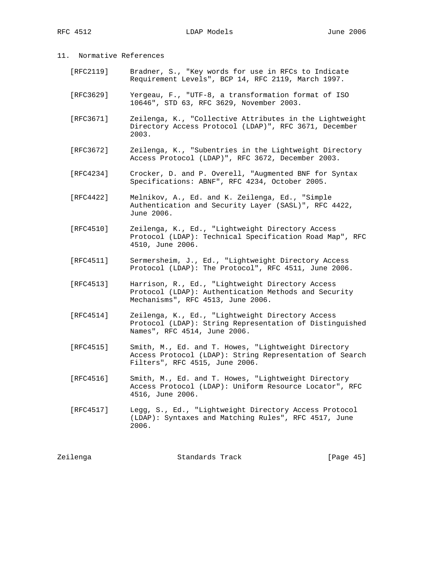# 11. Normative References

- [RFC2119] Bradner, S., "Key words for use in RFCs to Indicate Requirement Levels", BCP 14, RFC 2119, March 1997.
- [RFC3629] Yergeau, F., "UTF-8, a transformation format of ISO 10646", STD 63, RFC 3629, November 2003.
- [RFC3671] Zeilenga, K., "Collective Attributes in the Lightweight Directory Access Protocol (LDAP)", RFC 3671, December 2003.
- [RFC3672] Zeilenga, K., "Subentries in the Lightweight Directory Access Protocol (LDAP)", RFC 3672, December 2003.
- [RFC4234] Crocker, D. and P. Overell, "Augmented BNF for Syntax Specifications: ABNF", RFC 4234, October 2005.
- [RFC4422] Melnikov, A., Ed. and K. Zeilenga, Ed., "Simple Authentication and Security Layer (SASL)", RFC 4422, June 2006.
- [RFC4510] Zeilenga, K., Ed., "Lightweight Directory Access Protocol (LDAP): Technical Specification Road Map", RFC 4510, June 2006.
- [RFC4511] Sermersheim, J., Ed., "Lightweight Directory Access Protocol (LDAP): The Protocol", RFC 4511, June 2006.
- [RFC4513] Harrison, R., Ed., "Lightweight Directory Access Protocol (LDAP): Authentication Methods and Security Mechanisms", RFC 4513, June 2006.
- [RFC4514] Zeilenga, K., Ed., "Lightweight Directory Access Protocol (LDAP): String Representation of Distinguished Names", RFC 4514, June 2006.
- [RFC4515] Smith, M., Ed. and T. Howes, "Lightweight Directory Access Protocol (LDAP): String Representation of Search Filters", RFC 4515, June 2006.
- [RFC4516] Smith, M., Ed. and T. Howes, "Lightweight Directory Access Protocol (LDAP): Uniform Resource Locator", RFC 4516, June 2006.
- [RFC4517] Legg, S., Ed., "Lightweight Directory Access Protocol (LDAP): Syntaxes and Matching Rules", RFC 4517, June 2006.

| Zeilenga | Standards Track | [Page $45$ ] |  |
|----------|-----------------|--------------|--|
|----------|-----------------|--------------|--|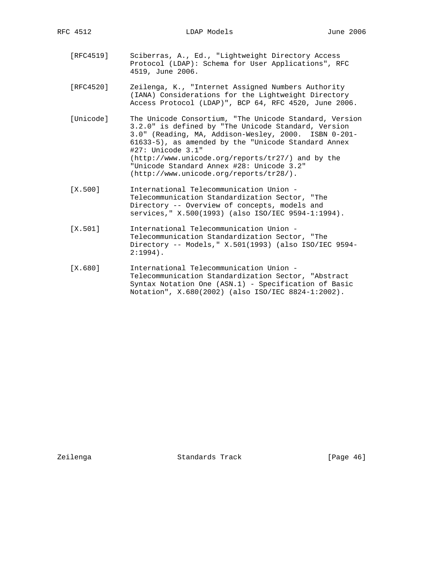RFC 4512 LDAP Models June 2006

- [RFC4519] Sciberras, A., Ed., "Lightweight Directory Access Protocol (LDAP): Schema for User Applications", RFC 4519, June 2006.
- [RFC4520] Zeilenga, K., "Internet Assigned Numbers Authority (IANA) Considerations for the Lightweight Directory Access Protocol (LDAP)", BCP 64, RFC 4520, June 2006.
- [Unicode] The Unicode Consortium, "The Unicode Standard, Version 3.2.0" is defined by "The Unicode Standard, Version 3.0" (Reading, MA, Addison-Wesley, 2000. ISBN 0-201- 61633-5), as amended by the "Unicode Standard Annex #27: Unicode 3.1" (http://www.unicode.org/reports/tr27/) and by the "Unicode Standard Annex #28: Unicode 3.2" (http://www.unicode.org/reports/tr28/).
- [X.500] International Telecommunication Union Telecommunication Standardization Sector, "The Directory -- Overview of concepts, models and services," X.500(1993) (also ISO/IEC 9594-1:1994).
- [X.501] International Telecommunication Union Telecommunication Standardization Sector, "The Directory -- Models," X.501(1993) (also ISO/IEC 9594- 2:1994).
- [X.680] International Telecommunication Union Telecommunication Standardization Sector, "Abstract Syntax Notation One (ASN.1) - Specification of Basic Notation", X.680(2002) (also ISO/IEC 8824-1:2002).

Zeilenga Standards Track [Page 46]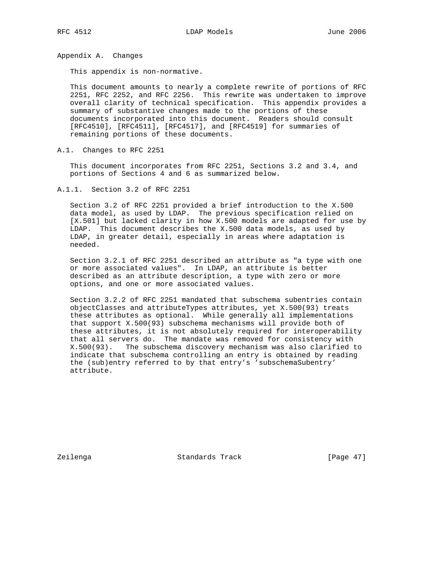Appendix A. Changes

This appendix is non-normative.

 This document amounts to nearly a complete rewrite of portions of RFC 2251, RFC 2252, and RFC 2256. This rewrite was undertaken to improve overall clarity of technical specification. This appendix provides a summary of substantive changes made to the portions of these documents incorporated into this document. Readers should consult [RFC4510], [RFC4511], [RFC4517], and [RFC4519] for summaries of remaining portions of these documents.

A.1. Changes to RFC 2251

 This document incorporates from RFC 2251, Sections 3.2 and 3.4, and portions of Sections 4 and 6 as summarized below.

A.1.1. Section 3.2 of RFC 2251

 Section 3.2 of RFC 2251 provided a brief introduction to the X.500 data model, as used by LDAP. The previous specification relied on [X.501] but lacked clarity in how X.500 models are adapted for use by LDAP. This document describes the X.500 data models, as used by LDAP, in greater detail, especially in areas where adaptation is needed.

 Section 3.2.1 of RFC 2251 described an attribute as "a type with one or more associated values". In LDAP, an attribute is better described as an attribute description, a type with zero or more options, and one or more associated values.

 Section 3.2.2 of RFC 2251 mandated that subschema subentries contain objectClasses and attributeTypes attributes, yet X.500(93) treats these attributes as optional. While generally all implementations that support X.500(93) subschema mechanisms will provide both of these attributes, it is not absolutely required for interoperability that all servers do. The mandate was removed for consistency with X.500(93). The subschema discovery mechanism was also clarified to indicate that subschema controlling an entry is obtained by reading the (sub)entry referred to by that entry's 'subschemaSubentry' attribute.

Zeilenga Standards Track [Page 47]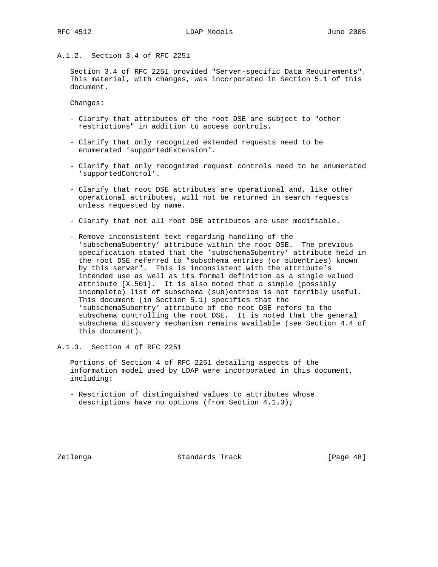# A.1.2. Section 3.4 of RFC 2251

 Section 3.4 of RFC 2251 provided "Server-specific Data Requirements". This material, with changes, was incorporated in Section 5.1 of this document.

Changes:

- Clarify that attributes of the root DSE are subject to "other restrictions" in addition to access controls.
- Clarify that only recognized extended requests need to be enumerated 'supportedExtension'.
- Clarify that only recognized request controls need to be enumerated 'supportedControl'.
- Clarify that root DSE attributes are operational and, like other operational attributes, will not be returned in search requests unless requested by name.
- Clarify that not all root DSE attributes are user modifiable.
- Remove inconsistent text regarding handling of the 'subschemaSubentry' attribute within the root DSE. The previous specification stated that the 'subschemaSubentry' attribute held in the root DSE referred to "subschema entries (or subentries) known by this server". This is inconsistent with the attribute's intended use as well as its formal definition as a single valued attribute [X.501]. It is also noted that a simple (possibly incomplete) list of subschema (sub)entries is not terribly useful. This document (in Section 5.1) specifies that the 'subschemaSubentry' attribute of the root DSE refers to the subschema controlling the root DSE. It is noted that the general subschema discovery mechanism remains available (see Section 4.4 of this document).

A.1.3. Section 4 of RFC 2251

 Portions of Section 4 of RFC 2251 detailing aspects of the information model used by LDAP were incorporated in this document, including:

 - Restriction of distinguished values to attributes whose descriptions have no options (from Section 4.1.3);

Zeilenga Standards Track [Page 48]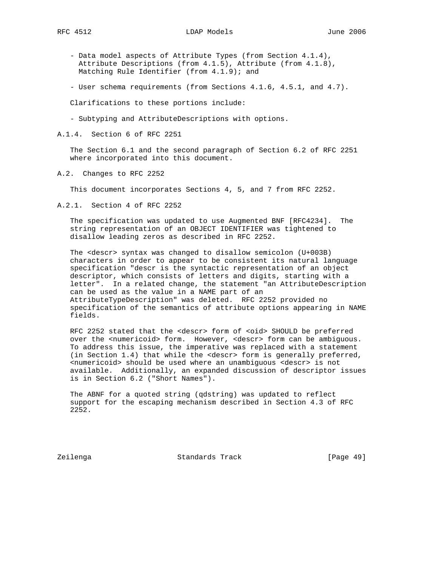- Data model aspects of Attribute Types (from Section 4.1.4), Attribute Descriptions (from 4.1.5), Attribute (from 4.1.8), Matching Rule Identifier (from 4.1.9); and
- User schema requirements (from Sections 4.1.6, 4.5.1, and 4.7).

Clarifications to these portions include:

- Subtyping and AttributeDescriptions with options.
- A.1.4. Section 6 of RFC 2251

 The Section 6.1 and the second paragraph of Section 6.2 of RFC 2251 where incorporated into this document.

A.2. Changes to RFC 2252

This document incorporates Sections 4, 5, and 7 from RFC 2252.

A.2.1. Section 4 of RFC 2252

 The specification was updated to use Augmented BNF [RFC4234]. The string representation of an OBJECT IDENTIFIER was tightened to disallow leading zeros as described in RFC 2252.

 The <descr> syntax was changed to disallow semicolon (U+003B) characters in order to appear to be consistent its natural language specification "descr is the syntactic representation of an object descriptor, which consists of letters and digits, starting with a letter". In a related change, the statement "an AttributeDescription can be used as the value in a NAME part of an AttributeTypeDescription" was deleted. RFC 2252 provided no specification of the semantics of attribute options appearing in NAME fields.

RFC 2252 stated that the <descr> form of <oid> SHOULD be preferred over the <numericoid> form. However, <descr> form can be ambiguous. To address this issue, the imperative was replaced with a statement (in Section 1.4) that while the <descr> form is generally preferred, <numericoid> should be used where an unambiguous <descr> is not available. Additionally, an expanded discussion of descriptor issues is in Section 6.2 ("Short Names").

 The ABNF for a quoted string (qdstring) was updated to reflect support for the escaping mechanism described in Section 4.3 of RFC 2252.

Zeilenga Standards Track [Page 49]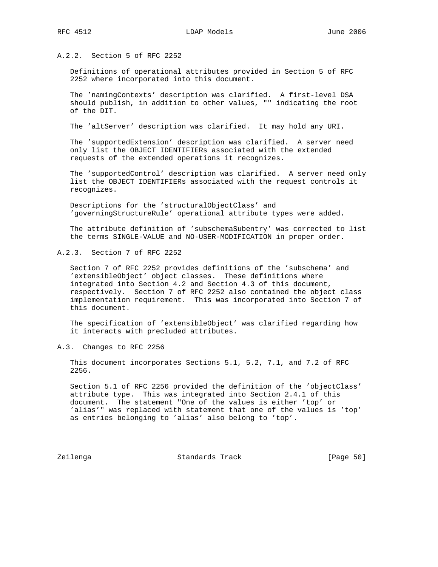A.2.2. Section 5 of RFC 2252

 Definitions of operational attributes provided in Section 5 of RFC 2252 where incorporated into this document.

 The 'namingContexts' description was clarified. A first-level DSA should publish, in addition to other values, "" indicating the root of the DIT.

The 'altServer' description was clarified. It may hold any URI.

 The 'supportedExtension' description was clarified. A server need only list the OBJECT IDENTIFIERs associated with the extended requests of the extended operations it recognizes.

 The 'supportedControl' description was clarified. A server need only list the OBJECT IDENTIFIERs associated with the request controls it recognizes.

 Descriptions for the 'structuralObjectClass' and 'governingStructureRule' operational attribute types were added.

 The attribute definition of 'subschemaSubentry' was corrected to list the terms SINGLE-VALUE and NO-USER-MODIFICATION in proper order.

A.2.3. Section 7 of RFC 2252

 Section 7 of RFC 2252 provides definitions of the 'subschema' and 'extensibleObject' object classes. These definitions where integrated into Section 4.2 and Section 4.3 of this document, respectively. Section 7 of RFC 2252 also contained the object class implementation requirement. This was incorporated into Section 7 of this document.

 The specification of 'extensibleObject' was clarified regarding how it interacts with precluded attributes.

A.3. Changes to RFC 2256

 This document incorporates Sections 5.1, 5.2, 7.1, and 7.2 of RFC 2256.

 Section 5.1 of RFC 2256 provided the definition of the 'objectClass' attribute type. This was integrated into Section 2.4.1 of this document. The statement "One of the values is either 'top' or 'alias'" was replaced with statement that one of the values is 'top' as entries belonging to 'alias' also belong to 'top'.

Zeilenga **Standards Track** [Page 50]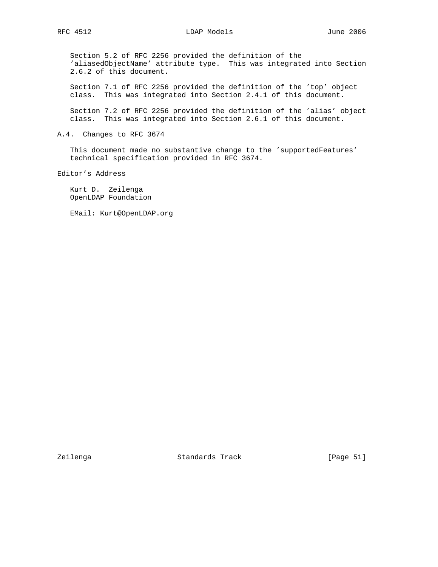Section 5.2 of RFC 2256 provided the definition of the 'aliasedObjectName' attribute type. This was integrated into Section 2.6.2 of this document.

 Section 7.1 of RFC 2256 provided the definition of the 'top' object class. This was integrated into Section 2.4.1 of this document.

 Section 7.2 of RFC 2256 provided the definition of the 'alias' object class. This was integrated into Section 2.6.1 of this document.

A.4. Changes to RFC 3674

This document made no substantive change to the 'supportedFeatures' technical specification provided in RFC 3674.

Editor's Address

 Kurt D. Zeilenga OpenLDAP Foundation

EMail: Kurt@OpenLDAP.org

Zeilenga Standards Track [Page 51]